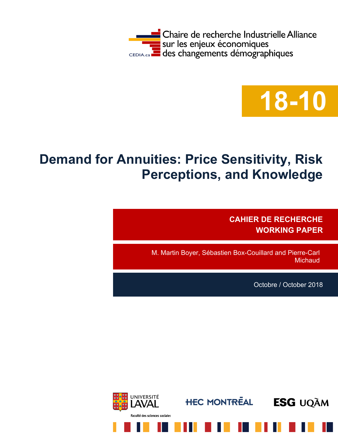



# **Demand for Annuities: Price Sensitivity, Risk Perceptions, and Knowledge**

**CAHIER DE RECHERCHE WORKING PAPER**

M. Martin Boyer, Sébastien Box-Couillard and Pierre-Carl **Michaud** 

Octobre / October 2018

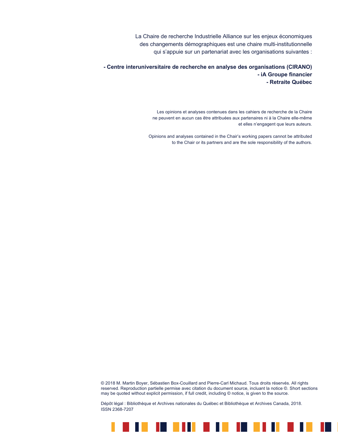La Chaire de recherche Industrielle Alliance sur les enjeux économiques des changements démographiques est une chaire multi-institutionnelle qui s'appuie sur un partenariat avec les organisations suivantes :

**- Centre interuniversitaire de recherche en analyse des organisations (CIRANO) - iA Groupe financier - Retraite Québec**

> Les opinions et analyses contenues dans les cahiers de recherche de la Chaire ne peuvent en aucun cas être attribuées aux partenaires ni à la Chaire elle-même et elles n'engagent que leurs auteurs.

Opinions and analyses contained in the Chair's working papers cannot be attributed to the Chair or its partners and are the sole responsibility of the authors.

© 2018 M. Martin Boyer, Sébastien Box-Couillard and Pierre-Carl Michaud. Tous droits réservés. All rights reserved. Reproduction partielle permise avec citation du document source, incluant la notice ©. Short sections may be quoted without explicit permission, if full credit, including © notice, is given to the source.

. . . . . . . . . . .

H.

Dépôt légal : Bibliothèque et Archives nationales du Québec et Bibliothèque et Archives Canada, 2018. ISSN 2368-7207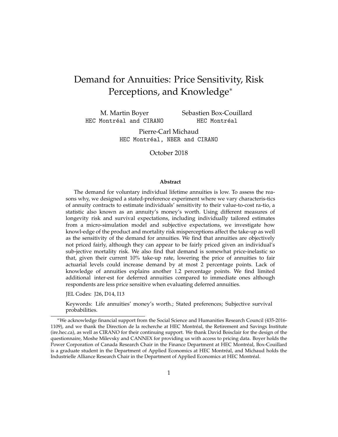## Demand for Annuities: Price Sensitivity, Risk Perceptions, and Knowledge<sup>∗</sup>

M. Martin Boyer HEC Montréal and CIRANO Sebastien Box-Couillard HEC Montréal

Pierre-Carl Michaud HEC Montréal, NBER and CIRANO

October 2018

#### **Abstract**

The demand for voluntary individual lifetime annuities is low. To assess the reasons why, we designed a stated-preference experiment where we vary characteris-tics of annuity contracts to estimate individuals' sensitivity to their value-to-cost ra-tio, a statistic also known as an annuity's money's worth. Using different measures of longevity risk and survival expectations, including individually tailored estimates from a micro-simulation model and subjective expectations, we investigate how knowl-edge of the product and mortality risk misperceptions affect the take-up as well as the sensitivity of the demand for annuities. We find that annuities are objectively not priced fairly, although they can appear to be fairly priced given an individual's sub-jective mortality risk. We also find that demand is somewhat price-inelastic so that, given their current 10% take-up rate, lowering the price of annuities to fair actuarial levels could increase demand by at most 2 percentage points. Lack of knowledge of annuities explains another 1.2 percentage points. We find limited additional inter-est for deferred annuities compared to immediate ones although respondents are less price sensitive when evaluating deferred annuities.

JEL Codes: J26, D14, I13

Keywords: Life annuities' money's worth.; Stated preferences; Subjective survival probabilities.

<sup>∗</sup>We acknowledge financial support from the Social Science and Humanities Research Council (435-2016- 1109), and we thank the Direction de la recherche at HEC Montréal, the Retirement and Savings Institute (ire.hec.ca), as well as CIRANO for their continuing support. We thank David Boisclair for the design of the questionnaire, Moshe Milevsky and CANNEX for providing us with access to pricing data. Boyer holds the Power Corporation of Canada Research Chair in the Finance Department at HEC Montreal, Box-Couillard ´ is a graduate student in the Department of Applied Economics at HEC Montreal, and Michaud holds the ´ Industrielle Alliance Research Chair in the Department of Applied Economics at HEC Montreal. ´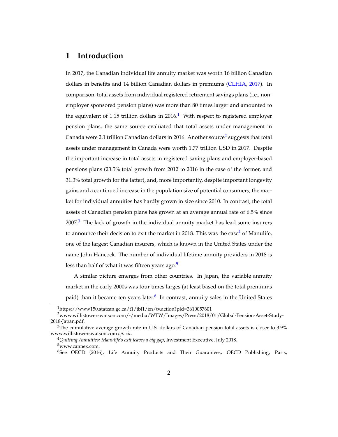### **1 Introduction**

In 2017, the Canadian individual life annuity market was worth 16 billion Canadian dollars in benefits and 14 billion Canadian dollars in premiums [\(CLHIA,](#page-26-0) [2017\)](#page-26-0). In comparison, total assets from individual registered retirement savings plans (i.e., nonemployer sponsored pension plans) was more than 80 times larger and amounted to the equivalent of [1](#page-3-0).15 trillion dollars in  $2016<sup>1</sup>$  With respect to registered employer pension plans, the same source evaluated that total assets under management in Canada were [2](#page-3-1).1 trillion Canadian dollars in 2016. Another source $^2$  suggests that total assets under management in Canada were worth 1.77 trillion USD in 2017. Despite the important increase in total assets in registered saving plans and employer-based pensions plans (23.5% total growth from 2012 to 2016 in the case of the former, and 31.3% total growth for the latter), and, more importantly, despite important longevity gains and a continued increase in the population size of potential consumers, the market for individual annuities has hardly grown in size since 2010. In contrast, the total assets of Canadian pension plans has grown at an average annual rate of 6.5% since  $2007<sup>3</sup>$  $2007<sup>3</sup>$  $2007<sup>3</sup>$  The lack of growth in the individual annuity market has lead some insurers to announce their decision to exit the market in 2018. This was the case<sup>[4](#page-3-3)</sup> of Manulife, one of the largest Canadian insurers, which is known in the United States under the name John Hancock. The number of individual lifetime annuity providers in 2018 is less than half of what it was fifteen years ago.<sup>[5](#page-3-4)</sup>

A similar picture emerges from other countries. In Japan, the variable annuity market in the early 2000s was four times larges (at least based on the total premiums paid) than it became ten years later.<sup>[6](#page-3-5)</sup> In contrast, annuity sales in the United States

<span id="page-3-1"></span><span id="page-3-0"></span> $1$ https://www150.statcan.gc.ca/t1/tbl1/en/tv.action?pid=3610057601

<sup>2</sup>www.willistowerswatson.com/-/media/WTW/Images/Press/2018/01/Global-Pension-Asset-Study-2018-Japan.pdf.

<span id="page-3-2"></span> $3$ The cumulative average growth rate in U.S. dollars of Canadian pension total assets is closer to 3.9% www.willistowerswatson.com *op. cit.*

<span id="page-3-4"></span><span id="page-3-3"></span><sup>4</sup>*Quitting Annuities: Manulife's exit leaves a big gap*, Investment Executive, July 2018. <sup>5</sup>www.cannex.com.

<span id="page-3-5"></span><sup>&</sup>lt;sup>6</sup>See OECD (2016), Life Annuity Products and Their Guarantees, OECD Publishing, Paris,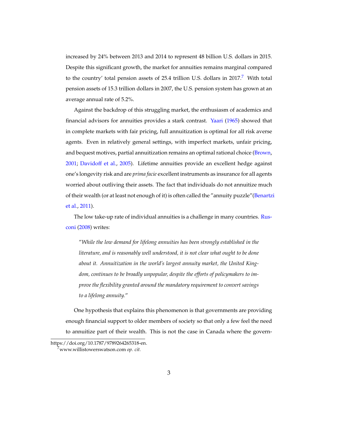increased by 24% between 2013 and 2014 to represent 48 billion U.S. dollars in 2015. Despite this significant growth, the market for annuities remains marginal compared to the country' total pension assets of 25.4 trillion U.S. dollars in  $2017$  $2017$ .<sup>7</sup> With total pension assets of 15.3 trillion dollars in 2007, the U.S. pension system has grown at an average annual rate of 5.2%.

Against the backdrop of this struggling market, the enthusiasm of academics and financial advisors for annuities provides a stark contrast. [Yaari](#page-27-0) [\(1965\)](#page-27-0) showed that in complete markets with fair pricing, full annuitization is optimal for all risk averse agents. Even in relatively general settings, with imperfect markets, unfair pricing, and bequest motives, partial annuitization remains an optimal rational choice [\(Brown,](#page-26-1) [2001;](#page-26-1) [Davidoff et al.,](#page-26-2) [2005\)](#page-26-2). Lifetime annuities provide an excellent hedge against one's longevity risk and are *prima facie* excellent instruments as insurance for all agents worried about outliving their assets. The fact that individuals do not annuitize much of their wealth (or at least not enough of it) is often called the "annuity puzzle"[\(Benartz](#page-26-3)i [et al.,](#page-26-3) [2011\)](#page-26-3).

The low take-up rate of individual annuities is a challenge in many countries. [Rus](#page-27-1)[coni](#page-27-1) [\(2008\)](#page-27-1) writes:

"*While the low demand for lifelong annuities has been strongly established in the literature, and is reasonably well understood, it is not clear what ought to be done about it. Annuitization in the world's largest annuity market, the United Kingdom, continues to be broadly unpopular, despite the efforts of policymakers to improve the flexibility granted around the mandatory requirement to convert savings to a lifelong annuity.*"

One hypothesis that explains this phenomenon is that governments are providing enough financial support to older members of society so that only a few feel the need to annuitize part of their wealth. This is not the case in Canada where the govern-

https://doi.org/10.1787/9789264265318-en.

<span id="page-4-0"></span><sup>7</sup>www.willistowerswatson.com *op. cit.*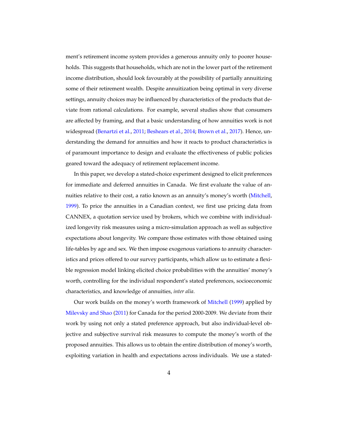ment's retirement income system provides a generous annuity only to poorer households. This suggests that households, which are not in the lower part of the retirement income distribution, should look favourably at the possibility of partially annuitizing some of their retirement wealth. Despite annuitization being optimal in very diverse settings, annuity choices may be influenced by characteristics of the products that deviate from rational calculations. For example, several studies show that consumers are affected by framing, and that a basic understanding of how annuities work is not widespread [\(Benartzi et al.,](#page-26-3) [2011;](#page-26-3) [Beshears et al.,](#page-26-4) [2014;](#page-26-4) [Brown et al.,](#page-26-5) [2017\)](#page-26-5). Hence, understanding the demand for annuities and how it reacts to product characteristics is of paramount importance to design and evaluate the effectiveness of public policies geared toward the adequacy of retirement replacement income.

In this paper, we develop a stated-choice experiment designed to elicit preferences for immediate and deferred annuities in Canada. We first evaluate the value of annuities relative to their cost, a ratio known as an annuity's money's worth [\(Mitchell,](#page-27-2) [1999\)](#page-27-2). To price the annuities in a Canadian context, we first use pricing data from CANNEX, a quotation service used by brokers, which we combine with individualized longevity risk measures using a micro-simulation approach as well as subjective expectations about longevity. We compare those estimates with those obtained using life-tables by age and sex. We then impose exogenous variations to annuity characteristics and prices offered to our survey participants, which allow us to estimate a flexible regression model linking elicited choice probabilities with the annuities' money's worth, controlling for the individual respondent's stated preferences, socioeconomic characteristics, and knowledge of annuities, *inter alia*.

Our work builds on the money's worth framework of [Mitchell](#page-27-2) [\(1999\)](#page-27-2) applied by [Milevsky and Shao](#page-27-3) [\(2011\)](#page-27-3) for Canada for the period 2000-2009. We deviate from their work by using not only a stated preference approach, but also individual-level objective and subjective survival risk measures to compute the money's worth of the proposed annuities. This allows us to obtain the entire distribution of money's worth, exploiting variation in health and expectations across individuals. We use a stated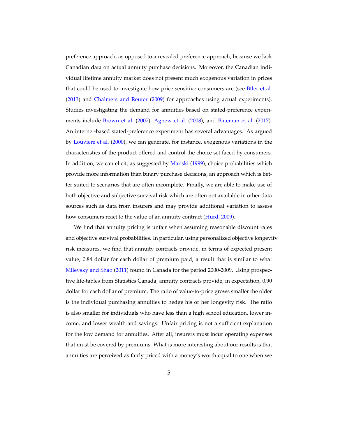preference approach, as opposed to a revealed preference approach, because we lack Canadian data on actual annuity purchase decisions. Moreover, the Canadian individual lifetime annuity market does not present much exogenous variation in prices that could be used to investigate how price sensitive consumers are (see [Btler et al.](#page-26-6) [\(2013\)](#page-26-6) and [Chalmers and Reuter](#page-26-7) [\(2009\)](#page-26-7) for approaches using actual experiments). Studies investigating the demand for annuities based on stated-preference experiments include [Brown et al.](#page-26-8) [\(2007\)](#page-26-8), [Agnew et al.](#page-26-9) [\(2008\)](#page-26-9), and [Bateman et al.](#page-26-10) [\(2017\)](#page-26-10). An internet-based stated-preference experiment has several advantages. As argued by [Louviere et al.](#page-27-4) [\(2000\)](#page-27-4), we can generate, for instance, exogenous variations in the characteristics of the product offered and control the choice set faced by consumers. In addition, we can elicit, as suggested by [Manski](#page-27-5) [\(1999\)](#page-27-5), choice probabilities which provide more information than binary purchase decisions, an approach which is better suited to scenarios that are often incomplete. Finally, we are able to make use of both objective and subjective survival risk which are often not available in other data sources such as data from insurers and may provide additional variation to assess how consumers react to the value of an annuity contract [\(Hurd,](#page-26-11) [2009\)](#page-26-11).

We find that annuity pricing is unfair when assuming reasonable discount rates and objective survival probabilities. In particular, using personalized objective longevity risk measures, we find that annuity contracts provide, in terms of expected present value, 0.84 dollar for each dollar of premium paid, a result that is similar to what [Milevsky and Shao](#page-27-3) [\(2011\)](#page-27-3) found in Canada for the period 2000-2009. Using prospective life-tables from Statistics Canada, annuity contracts provide, in expectation, 0.90 dollar for each dollar of premium. The ratio of value-to-price grows smaller the older is the individual purchasing annuities to hedge his or her longevity risk. The ratio is also smaller for individuals who have less than a high school education, lower income, and lower wealth and savings. Unfair pricing is not a sufficient explanation for the low demand for annuities. After all, insurers must incur operating expenses that must be covered by premiums. What is more interesting about our results is that annuities are perceived as fairly priced with a money's worth equal to one when we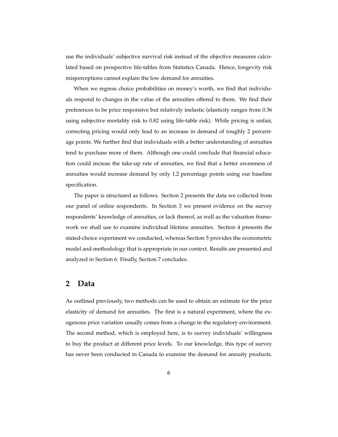use the individuals' subjective survival risk instead of the objective measures calculated based on prospective life-tables from Statistics Canada. Hence, longevity risk misperceptions cannot explain the low demand for annuities.

When we regress choice probabilities on money's worth, we find that individuals respond to changes in the value of the annuities offered to them. We find their preferences to be price responsive but relatively inelastic (elasticity ranges from 0.36 using subjective mortality risk to 0.82 using life-table risk). While pricing is unfair, correcting pricing would only lead to an increase in demand of roughly 2 percentage points. We further find that individuals with a better understanding of annuities tend to purchase more of them. Although one could conclude that financial education could increae the take-up rate of annuities, we find that a better awareness of annuities would increase demand by only 1.2 percentage points using our baseline specification.

The paper is structured as follows. Section 2 presents the data we collected from our panel of online respondents. In Section 3 we present evidence on the survey respondents' knowledge of annuities, or lack thereof, as well as the valuation framework we shall use to examine individual lifetime annuities. Section 4 presents the stated-choice experiment we conducted, whereas Section 5 provides the econometric model and methodology that is appropriate in our context. Results are presented and analyzed in Section 6. Finally, Section 7 concludes.

#### **2 Data**

As outlined previously, two methods can be used to obtain an estimate for the price elasticity of demand for annuities. The first is a natural experiment, where the exogenous price variation usually comes from a change in the regulatory environment. The second method, which is employed here, is to survey individuals' willingness to buy the product at different price levels. To our knowledge, this type of survey has never been conducted in Canada to examine the demand for annuity products.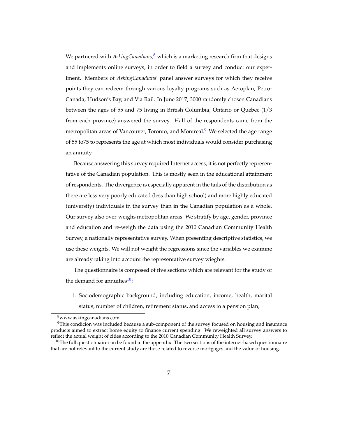We partnered with *AskingCanadians*,<sup>[8](#page-8-0)</sup> which is a marketing research firm that designs and implements online surveys, in order to field a survey and conduct our experiment. Members of *AskingCanadians*' panel answer surveys for which they receive points they can redeem through various loyalty programs such as Aeroplan, Petro-Canada, Hudson's Bay, and Via Rail. In June 2017, 3000 randomly chosen Canadians between the ages of 55 and 75 living in British Columbia, Ontario or Quebec (1/3 from each province) answered the survey. Half of the respondents came from the metropolitan areas of Vancouver, Toronto, and Montreal.<sup>[9](#page-8-1)</sup> We selected the age range of 55 to75 to represents the age at which most individuals would consider purchasing an annuity.

Because answering this survey required Internet access, it is not perfectly representative of the Canadian population. This is mostly seen in the educational attainment of respondents. The divergence is especially apparent in the tails of the distribution as there are less very poorly educated (less than high school) and more highly educated (university) individuals in the survey than in the Canadian population as a whole. Our survey also over-weighs metropolitan areas. We stratify by age, gender, province and education and re-weigh the data using the 2010 Canadian Community Health Survey, a nationally representative survey. When presenting descriptive statistics, we use these weights. We will not weight the regressions since the variables we examine are already taking into account the representative survey wieghts.

The questionnaire is composed of five sections which are relevant for the study of the demand for annuities $10$ :

1. Sociodemographic background, including education, income, health, marital status, number of children, retirement status, and access to a pension plan;

<span id="page-8-1"></span><span id="page-8-0"></span><sup>8</sup>www.askingcanadians.com

 $9$ This condicion was included because a sub-component of the survey focused on housing and insurance products aimed to extract home equity to finance current spending. We reweighted all survey answers to reflect the actual weight of cities according to the 2010 Canadian Community Health Survey.

<span id="page-8-2"></span> $10$ The full questionnaire can be found in the appendix. The two sections of the internet-based questionnaire that are not relevant to the current study are those related to reverse mortgages and the value of housing.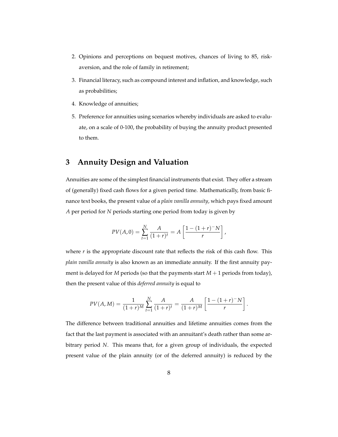- 2. Opinions and perceptions on bequest motives, chances of living to 85, riskaversion, and the role of family in retirement;
- 3. Financial literacy, such as compound interest and inflation, and knowledge, such as probabilities;
- 4. Knowledge of annuities;
- 5. Preference for annuities using scenarios whereby individuals are asked to evaluate, on a scale of 0-100, the probability of buying the annuity product presented to them.

### **3 Annuity Design and Valuation**

Annuities are some of the simplest financial instruments that exist. They offer a stream of (generally) fixed cash flows for a given period time. Mathematically, from basic finance text books, the present value of a *plain vanilla annuity*, which pays fixed amount *A* per period for *N* periods starting one period from today is given by

$$
PV(A,0) = \sum_{t=1}^{N} \frac{A}{(1+r)^t} = A \left[ \frac{1 - (1+r)^{-1}}{r} \right],
$$

where  $r$  is the appropriate discount rate that reflects the risk of this cash flow. This *plain vanilla annuity* is also known as an immediate annuity. If the first annuity payment is delayed for  $M$  periods (so that the payments start  $M + 1$  periods from today), then the present value of this *deferred annuity* is equal to

$$
PV(A, M) = \frac{1}{(1+r)^M} \sum_{t=1}^N \frac{A}{(1+r)^t} = \frac{A}{(1+r)^M} \left[ \frac{1-(1+r)^{-1}N}{r} \right].
$$

The difference between traditional annuities and lifetime annuities comes from the fact that the last payment is associated with an annuitant's death rather than some arbitrary period *N*. This means that, for a given group of individuals, the expected present value of the plain annuity (or of the deferred annuity) is reduced by the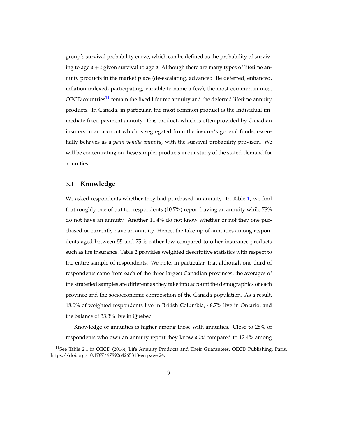group's survival probability curve, which can be defined as the probability of surviving to age *a* + *t* given survival to age *a*. Although there are many types of lifetime annuity products in the market place (de-escalating, advanced life deferred, enhanced, inflation indexed, participating, variable to name a few), the most common in most  $\rm{OECD}$  countries<sup>[11](#page-10-0)</sup> remain the fixed lifetime annuity and the deferred lifetime annuity products. In Canada, in particular, the most common product is the Individual immediate fixed payment annuity. This product, which is often provided by Canadian insurers in an account which is segregated from the insurer's general funds, essentially behaves as a *plain vanilla annuity*, with the survival probability provison. We will be concentrating on these simpler products in our study of the stated-demand for annuities.

#### **3.1 Knowledge**

We asked respondents whether they had purchased an annuity. In Table [1,](#page-29-0) we find that roughly one of out ten respondents (10.7%) report having an annuity while 78% do not have an annuity. Another 11.4% do not know whether or not they one purchased or currently have an annuity. Hence, the take-up of annuities among respondents aged between 55 and 75 is rather low compared to other insurance products such as life insurance. Table 2 provides weighted descriptive statistics with respect to the entire sample of respondents. We note, in particular, that although one third of respondents came from each of the three largest Canadian provinces, the averages of the stratefied samples are different as they take into account the demographics of each province and the socioeconomic composition of the Canada population. As a result, 18.0% of weighted respondents live in British Columbia, 48.7% live in Ontario, and the balance of 33.3% live in Quebec.

Knowledge of annuities is higher among those with annuities. Close to 28% of respondents who own an annuity report they know *a lot* compared to 12.4% among

<span id="page-10-0"></span><sup>&</sup>lt;sup>11</sup>See Table 2.1 in OECD (2016), Life Annuity Products and Their Guarantees, OECD Publishing, Paris, https://doi.org/10.1787/9789264265318-en page 24.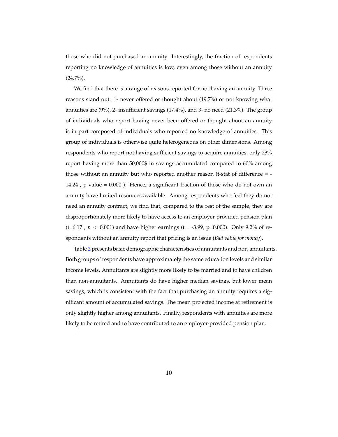those who did not purchased an annuity. Interestingly, the fraction of respondents reporting no knowledge of annuities is low, even among those without an annuity (24.7%).

We find that there is a range of reasons reported for not having an annuity. Three reasons stand out: 1- never offered or thought about (19.7%) or not knowing what annuities are (9%), 2- insufficient savings (17.4%), and 3- no need (21.3%). The group of individuals who report having never been offered or thought about an annuity is in part composed of individuals who reported no knowledge of annuities. This group of individuals is otherwise quite heterogeneous on other dimensions. Among respondents who report not having sufficient savings to acquire annuities, only 23% report having more than 50,000\$ in savings accumulated compared to 60% among those without an annuity but who reported another reason (t-stat of difference = - 14.24 , p-value = 0.000 ). Hence, a significant fraction of those who do not own an annuity have limited resources available. Among respondents who feel they do not need an annuity contract, we find that, compared to the rest of the sample, they are disproportionately more likely to have access to an employer-provided pension plan (t=6.17,  $p < 0.001$ ) and have higher earnings (t = -3.99, p=0.000). Only 9.2% of respondents without an annuity report that pricing is an issue (*Bad value for money*).

Table [2](#page-30-0) presents basic demographic characteristics of annuitants and non-annuitants. Both groups of respondents have approximately the same education levels and similar income levels. Annuitants are slightly more likely to be married and to have children than non-annuitants. Annuitants do have higher median savings, but lower mean savings, which is consistent with the fact that purchasing an annuity requires a significant amount of accumulated savings. The mean projected income at retirement is only slightly higher among annuitants. Finally, respondents with annuities are more likely to be retired and to have contributed to an employer-provided pension plan.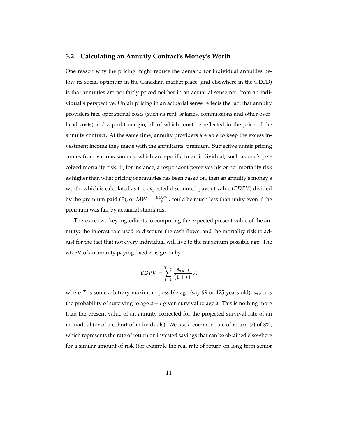#### **3.2 Calculating an Annuity Contract's Money's Worth**

One reason why the pricing might reduce the demand for individual annuities below its social optimum in the Canadian market place (and elsewhere in the OECD) is that annuities are not fairly priced neither in an actuarial sense nor from an individual's perspective. Unfair pricing in an actuarial sense reflects the fact that annuity providers face operational costs (such as rent, salaries, commissions and other overhead costs) and a profit margin, all of which must be reflected in the price of the annuity contract. At the same time, annuity providers are able to keep the excess investment income they made with the annuitants' premium. Subjective unfair pricing comes from various sources, which are specific to an individual, such as one's perceived mortality risk. If, for instance, a respondent perceives his or her mortality risk as higher than what pricing of annuities has been based on, then an annuity's money's worth, which is calculated as the expected discounted payout value (*EDPV*) divided by the premium paid (*P*), or  $MW = \frac{EDPV}{P}$ , could be much less than unity even if the premium was fair by actuarial standards.

There are two key ingredients to computing the expected present value of the annuity: the interest rate used to discount the cash flows, and the mortality risk to adjust for the fact that not every individual will live to the maximum possible age. The *EDPV* of an annuity paying fixed *A* is given by

$$
EDPV = \sum_{t=1}^{T-a} \frac{s_{a,a+t}}{(1+r)^t} A
$$

where *T* is some arbitrary maximum possible age (say 99 or 125 years old), *sa*,*a*+*<sup>t</sup>* is the probability of surviving to age  $a + t$  given survival to age  $a$ . This is nothing more than the present value of an annuity corrected for the projected survival rate of an individual (or of a cohort of individuals). We use a common rate of return (*r*) of 3%, which represents the rate of return on invested savings that can be obtained elsewhere for a similar amount of risk (for example the real rate of return on long-term senior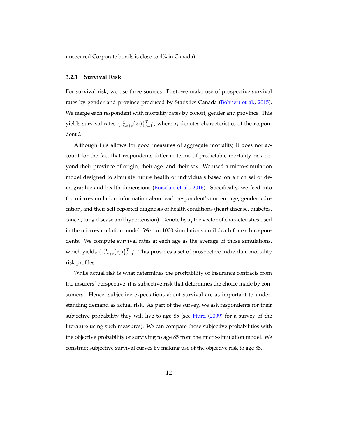unsecured Corporate bonds is close to 4% in Canada).

#### **3.2.1 Survival Risk**

For survival risk, we use three sources. First, we make use of prospective survival rates by gender and province produced by Statistics Canada [\(Bohnert et al.,](#page-26-12) [2015\)](#page-26-12). We merge each respondent with mortality rates by cohort, gender and province. This yields survival rates  $\{s_{a,a+t}^C(x_i)\}_{t=1}^{T-a}$ , where  $x_i$  denotes characteristics of the respondent *i*.

Although this allows for good measures of aggregate mortality, it does not account for the fact that respondents differ in terms of predictable mortality risk beyond their province of origin, their age, and their sex. We used a micro-simulation model designed to simulate future health of individuals based on a rich set of demographic and health dimensions [\(Boisclair et al.,](#page-26-13) [2016\)](#page-26-13). Specifically, we feed into the micro-simulation information about each respondent's current age, gender, education, and their self-reported diagnosis of health conditions (heart disease, diabetes, cancer, lung disease and hypertension). Denote by  $x_i$  the vector of characteristics used in the micro-simulation model. We run 1000 simulations until death for each respondents. We compute survival rates at each age as the average of those simulations, which yields  $\{s_{a,a+t}^O(x_i)\}_{t=1}^{T-a}$ . This provides a set of prospective individual mortality risk profiles.

While actual risk is what determines the profitability of insurance contracts from the insurers' perspective, it is subjective risk that determines the choice made by consumers. Hence, subjective expectations about survival are as important to understanding demand as actual risk. As part of the survey, we ask respondents for their subjective probability they will live to age 85 (see [Hurd](#page-26-11) [\(2009\)](#page-26-11) for a survey of the literature using such measures). We can compare those subjective probabilities with the objective probability of surviving to age 85 from the micro-simulation model. We construct subjective survival curves by making use of the objective risk to age 85.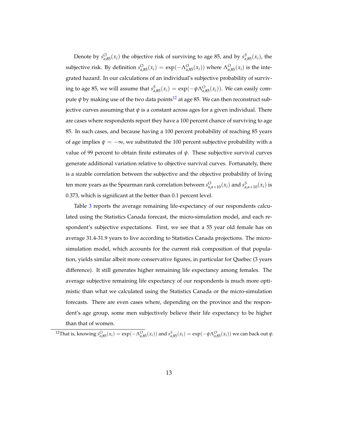Denote by  $s_{a,85}^O(x_i)$  the objective risk of surviving to age 85, and by  $s_{a,85}^S(x_i)$ , the subjective risk. By definition  $s_{a,85}^O(x_i) = \exp(-\Lambda_{a,85}^O(x_i))$  where  $\Lambda_{a,85}^O(x_i)$  is the integrated hazard. In our calculations of an individual's subjective probability of surviving to age 85, we will assume that  $s_{a,85}^S(x_i) = \exp(-\psi \Lambda_{a,85}^O(x_i))$ . We can easily compute  $\psi$  by making use of the two data points<sup>[12](#page-14-0)</sup> at age 85. We can then reconstruct subjective curves assuming that  $\psi$  is a constant across ages for a given individual. There are cases where respondents report they have a 100 percent chance of surviving to age 85. In such cases, and because having a 100 percent probability of reaching 85 years of age implies  $\psi = -\infty$ , we substituted the 100 percent subjective probability with a value of 99 percent to obtain finite estimates of  $\psi$ . These subjective survival curves generate additional variation relative to objective survival curves. Fortunately, there is a sizable correlation between the subjective and the objective probability of living ten more years as the Spearman rank correlation between  $s_{a,a+10}^O(x_i)$  and  $s_{a,a+10}^S(x_i)$  is 0.373, which is significant at the better than 0.1 percent level.

Table [3](#page-31-0) reports the average remaining life-expectancy of our respondents calculated using the Statistics Canada forecast, the micro-simulation model, and each respondent's subjective expectations. First, we see that a 55 year old female has on average 31.4-31.9 years to live according to Statistics Canada projections. The microsimulation model, which accounts for the current risk composition of that population, yields similar albeit more conservative figures, in particular for Quebec (3 years difference). It still generates higher remaining life expectancy among females. The average subjective remaining life expectancy of our respondents is much more optimistic than what we calculated using the Statistics Canada or the micro-simulation forecasts. There are even cases where, depending on the province and the respondent's age group, some men subjectively believe their life expectancy to be higher than that of women.

<span id="page-14-0"></span><sup>12</sup>That is, knowing  $s_{a,85}^O(x_i) = \exp(-\Lambda_{a,85}^O(x_i))$  and  $s_{a,85}^S(x_i) = \exp(-\psi \Lambda_{a,85}^O(x_i))$  we can back out  $\psi$ .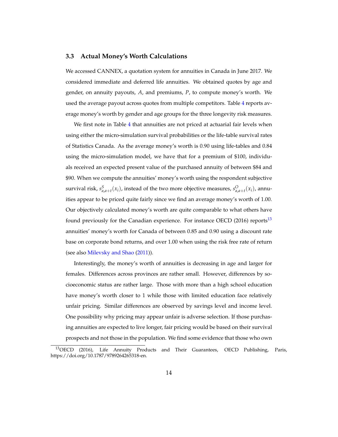#### **3.3 Actual Money's Worth Calculations**

We accessed CANNEX, a quotation system for annuities in Canada in June 2017. We considered immediate and deferred life annuities. We obtained quotes by age and gender, on annuity payouts, *A*, and premiums, *P*, to compute money's worth. We used the average payout across quotes from multiple competitors. Table [4](#page-32-0) reports average money's worth by gender and age groups for the three longevity risk measures.

We first note in Table [4](#page-32-0) that annuities are not priced at actuarial fair levels when using either the micro-simulation survival probabilities or the life-table survival rates of Statistics Canada. As the average money's worth is 0.90 using life-tables and 0.84 using the micro-simulation model, we have that for a premium of \$100, individuals received an expected present value of the purchased annuity of between \$84 and \$90. When we compute the annuities' money's worth using the respondent subjective survival risk,  $s^S_{a,a+t}(x_i)$ , instead of the two more objective measures,  $s^O_{a,a+t}(x_i)$ , annuities appear to be priced quite fairly since we find an average money's worth of 1.00. Our objectively calculated money's worth are quite comparable to what others have found previously for the Canadian experience. For instance OECD (2016) reports<sup>[13](#page-15-0)</sup> annuities' money's worth for Canada of between 0.85 and 0.90 using a discount rate base on corporate bond returns, and over 1.00 when using the risk free rate of return (see also [Milevsky and Shao](#page-27-3) [\(2011\)](#page-27-3)).

Interestingly, the money's worth of annuities is decreasing in age and larger for females. Differences across provinces are rather small. However, differences by socioeconomic status are rather large. Those with more than a high school education have money's worth closer to 1 while those with limited education face relatively unfair pricing. Similar differences are observed by savings level and income level. One possibility why pricing may appear unfair is adverse selection. If those purchasing annuities are expected to live longer, fair pricing would be based on their survival prospects and not those in the population. We find some evidence that those who own

<span id="page-15-0"></span><sup>13</sup>OECD (2016), Life Annuity Products and Their Guarantees, OECD Publishing, Paris, https://doi.org/10.1787/9789264265318-en.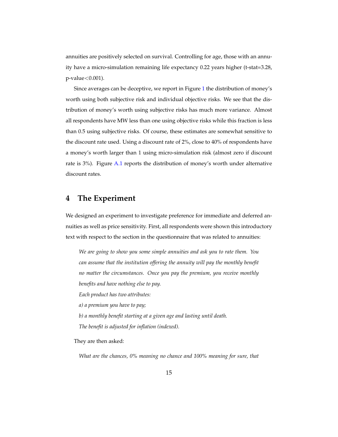annuities are positively selected on survival. Controlling for age, those with an annuity have a micro-simulation remaining life expectancy 0.22 years higher (t-stat=3.28, p-value<0.001).

Since averages can be deceptive, we report in Figure [1](#page-28-0) the distribution of money's worth using both subjective risk and individual objective risks. We see that the distribution of money's worth using subjective risks has much more variance. Almost all respondents have MW less than one using objective risks while this fraction is less than 0.5 using subjective risks. Of course, these estimates are somewhat sensitive to the discount rate used. Using a discount rate of 2%, close to 40% of respondents have a money's worth larger than 1 using micro-simulation risk (almost zero if discount rate is 3%). Figure [A.1](#page-28-0) reports the distribution of money's worth under alternative discount rates.

### **4 The Experiment**

We designed an experiment to investigate preference for immediate and deferred annuities as well as price sensitivity. First, all respondents were shown this introductory text with respect to the section in the questionnaire that was related to annuities:

*We are going to show you some simple annuities and ask you to rate them. You can assume that the institution offering the annuity will pay the monthly benefit no matter the circumstances. Once you pay the premium, you receive monthly benefits and have nothing else to pay. Each product has two attributes: a) a premium you have to pay; b) a monthly benefit starting at a given age and lasting until death. The benefit is adjusted for inflation (indexed).*

They are then asked:

*What are the chances, 0% meaning no chance and 100% meaning for sure, that*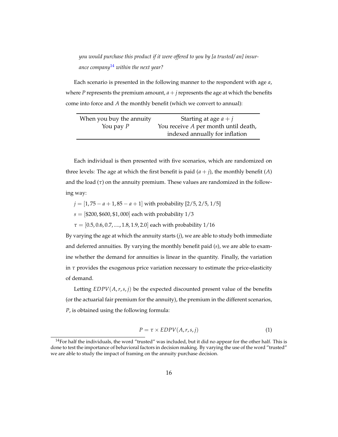*you would purchase this product if it were offered to you by [a trusted/ an] insurance company*[14](#page-17-0) *within the next year?*

Each scenario is presented in the following manner to the respondent with age *a*, where *P* represents the premium amount,  $a + j$  represents the age at which the benefits come into force and *A* the monthly benefit (which we convert to annual):

| When you buy the annuity | Starting at age $a + j$              |
|--------------------------|--------------------------------------|
| You pay $P$              | You receive A per month until death, |
|                          | indexed annually for inflation       |

Each individual is then presented with five scenarios, which are randomized on three levels: The age at which the first benefit is paid  $(a + j)$ , the monthly benefit  $(A)$ and the load  $(\tau)$  on the annuity premium. These values are randomized in the following way:

- *j* = [1,75 − *a* + 1,85 − *a* + 1] with probability [2/5, 2/5, 1/5]
- $s = [\$200, \$600, \$1,000]$  each with probability  $1/3$

*τ* = [0.5, 0.6, 0.7, ...., 1.8, 1.9, 2.0] each with probability 1/16

By varying the age at which the annuity starts (*j*), we are able to study both immediate and deferred annuities. By varying the monthly benefit paid (*s*), we are able to examine whether the demand for annuities is linear in the quantity. Finally, the variation in  $\tau$  provides the exogenous price variation necessary to estimate the price-elasticity of demand.

Letting  $EDPV(A, r, s, i)$  be the expected discounted present value of the benefits (or the actuarial fair premium for the annuity), the premium in the different scenarios, *P*, is obtained using the following formula:

$$
P = \tau \times EDPV(A, r, s, j) \tag{1}
$$

<span id="page-17-0"></span> $14$ For half the individuals, the word "trusted" was included, but it did no appear for the other half. This is done to test the importance of behavioral factors in decision making. By varying the use of the word "trusted" we are able to study the impact of framing on the annuity purchase decision.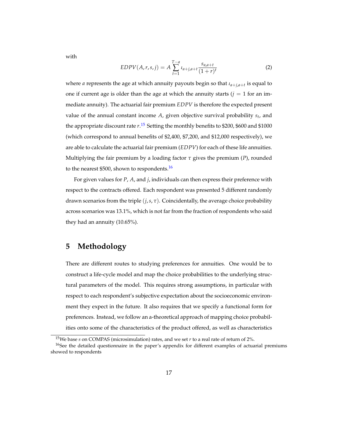with

$$
EDPV(A,r,s,j) = A \sum_{t=1}^{T-a} \iota_{a+j,a+t} \frac{s_{a,a+t}}{(1+r)^t}
$$
 (2)

where *a* represents the age at which annuity payouts begin so that *ιa*+*j*,*a*+*<sup>t</sup>* is equal to one if current age is older than the age at which the annuity starts  $(j = 1$  for an immediate annuity). The actuarial fair premium *EDPV* is therefore the expected present value of the annual constant income *A*, given objective survival probability *s<sup>t</sup>* , and the appropriate discount rate *r*. [15](#page-18-0) Setting the monthly benefits to \$200, \$600 and \$1000 (which correspond to annual benefits of \$2,400, \$7,200, and \$12,000 respectively), we are able to calculate the actuarial fair premium (*EDPV*) for each of these life annuities. Multiplying the fair premium by a loading factor *τ* gives the premium (*P*), rounded to the nearest \$500, shown to respondents.<sup>[16](#page-18-1)</sup>

For given values for *P*, *A*, and *j*, individuals can then express their preference with respect to the contracts offered. Each respondent was presented 5 different randomly drawn scenarios from the triple  $(j, s, \tau)$ . Coincidentally, the average choice probability across scenarios was 13.1%, which is not far from the fraction of respondents who said they had an annuity (10.65%).

### **5 Methodology**

There are different routes to studying preferences for annuities. One would be to construct a life-cycle model and map the choice probabilities to the underlying structural parameters of the model. This requires strong assumptions, in particular with respect to each respondent's subjective expectation about the socioeconomic environment they expect in the future. It also requires that we specify a functional form for preferences. Instead, we follow an a-theoretical approach of mapping choice probabilities onto some of the characteristics of the product offered, as well as characteristics

<span id="page-18-1"></span><span id="page-18-0"></span><sup>15</sup>We base *s* on COMPAS (microsimulation) rates, and we set *r* to a real rate of return of 2%.

<sup>&</sup>lt;sup>16</sup>See the detailed questionnaire in the paper's appendix for different examples of actuarial premiums showed to respondents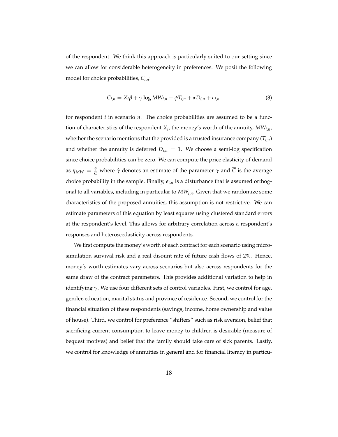of the respondent. We think this approach is particularly suited to our setting since we can allow for considerable heterogeneity in preferences. We posit the following model for choice probabilities, *Ci*,*n*:

<span id="page-19-0"></span>
$$
C_{i,n} = X_i \beta + \gamma \log MW_{i,n} + \psi T_{i,n} + \alpha D_{i,n} + \epsilon_{i,n}
$$
\n(3)

for respondent *i* in scenario *n*. The choice probabilities are assumed to be a function of characteristics of the respondent *X<sup>i</sup>* , the money's worth of the annuity, *MWi*,*n*, whether the scenario mentions that the provided is a trusted insurance company (*Ti*,*n*) and whether the annuity is deferred  $D_{i,n} = 1$ . We choose a semi-log specification since choice probabilities can be zero. We can compute the price elasticity of demand as *ηMW* = *γ*ˆ  $\frac{V}{C}$  where  $\hat{\gamma}$  denotes an estimate of the parameter  $\gamma$  and *C* is the average choice probability in the sample. Finally,  $\epsilon_{i,n}$  is a disturbance that is assumed orthogonal to all variables, including in particular to *MWi*,*n*. Given that we randomize some characteristics of the proposed annuities, this assumption is not restrictive. We can estimate parameters of this equation by least squares using clustered standard errors at the respondent's level. This allows for arbitrary correlation across a respondent's responses and heteroscedasticity across respondents.

We first compute the money's worth of each contract for each scenario using microsimulation survival risk and a real disount rate of future cash flows of 2%. Hence, money's worth estimates vary across scenarios but also across respondents for the same draw of the contract parameters. This provides additional variation to help in identifying *γ*. We use four different sets of control variables. First, we control for age, gender, education, marital status and province of residence. Second, we control for the financial situation of these respondents (savings, income, home ownership and value of house). Third, we control for preference "shifters" such as risk aversion, belief that sacrificing current consumption to leave money to children is desirable (measure of bequest motives) and belief that the family should take care of sick parents. Lastly, we control for knowledge of annuities in general and for financial literacy in particu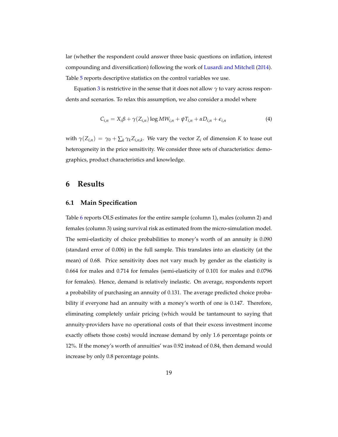lar (whether the respondent could answer three basic questions on inflation, interest compounding and diversification) following the work of [Lusardi and Mitchell](#page-27-6) [\(2014\)](#page-27-6). Table [5](#page-33-0) reports descriptive statistics on the control variables we use.

Equation [3](#page-19-0) is restrictive in the sense that it does not allow  $\gamma$  to vary across respondents and scenarios. To relax this assumption, we also consider a model where

<span id="page-20-0"></span>
$$
C_{i,n} = X_i \beta + \gamma (Z_{i,n}) \log MW_{i,n} + \psi T_{i,n} + \alpha D_{i,n} + \epsilon_{i,n}
$$
\n
$$
\tag{4}
$$

with  $\gamma(Z_{i,n}) = \gamma_0 + \sum_k \gamma_k Z_{i,n,k}$ . We vary the vector  $Z_i$  of dimension *K* to tease out heterogeneity in the price sensitivity. We consider three sets of characteristics: demographics, product characteristics and knowledge.

#### **6 Results**

#### **6.1 Main Specification**

Table [6](#page-34-0) reports OLS estimates for the entire sample (column 1), males (column 2) and females (column 3) using survival risk as estimated from the micro-simulation model. The semi-elasticity of choice probabilities to money's worth of an annuity is 0.090 (standard error of 0.006) in the full sample. This translates into an elasticity (at the mean) of 0.68. Price sensitivity does not vary much by gender as the elasticity is 0.664 for males and 0.714 for females (semi-elasticity of 0.101 for males and 0.0796 for females). Hence, demand is relatively inelastic. On average, respondents report a probability of purchasing an annuity of 0.131. The average predicted choice probability if everyone had an annuity with a money's worth of one is 0.147. Therefore, eliminating completely unfair pricing (which would be tantamount to saying that annuity-providers have no operational costs of that their excess investment income exactly offsets those costs) would increase demand by only 1.6 percentage points or 12%. If the money's worth of annuities' was 0.92 instead of 0.84, then demand would increase by only 0.8 percentage points.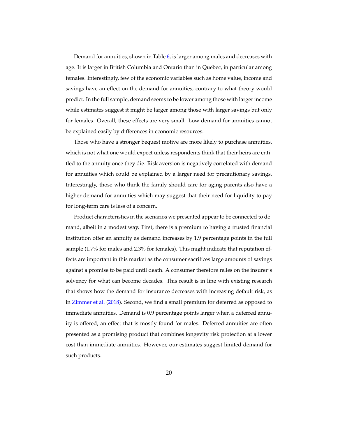Demand for annuities, shown in Table [6,](#page-34-0) is larger among males and decreases with age. It is larger in British Columbia and Ontario than in Quebec, in particular among females. Interestingly, few of the economic variables such as home value, income and savings have an effect on the demand for annuities, contrary to what theory would predict. In the full sample, demand seems to be lower among those with larger income while estimates suggest it might be larger among those with larger savings but only for females. Overall, these effects are very small. Low demand for annuities cannot be explained easily by differences in economic resources.

Those who have a stronger bequest motive are more likely to purchase annuities, which is not what one would expect unless respondents think that their heirs are entitled to the annuity once they die. Risk aversion is negatively correlated with demand for annuities which could be explained by a larger need for precautionary savings. Interestingly, those who think the family should care for aging parents also have a higher demand for annuities which may suggest that their need for liquidity to pay for long-term care is less of a concern.

Product characteristics in the scenarios we presented appear to be connected to demand, albeit in a modest way. First, there is a premium to having a trusted financial institution offer an annuity as demand increases by 1.9 percentage points in the full sample (1.7% for males and 2.3% for females). This might indicate that reputation effects are important in this market as the consumer sacrifices large amounts of savings against a promise to be paid until death. A consumer therefore relies on the insurer's solvency for what can become decades. This result is in line with existing research that shows how the demand for insurance decreases with increasing default risk, as in [Zimmer et al.](#page-27-7) [\(2018\)](#page-27-7). Second, we find a small premium for deferred as opposed to immediate annuities. Demand is 0.9 percentage points larger when a deferred annuity is offered, an effect that is mostly found for males. Deferred annuities are often presented as a promising product that combines longevity risk protection at a lower cost than immediate annuities. However, our estimates suggest limited demand for such products.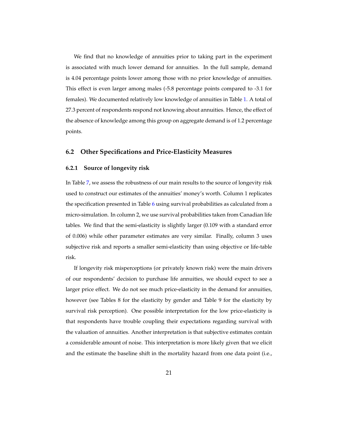We find that no knowledge of annuities prior to taking part in the experiment is associated with much lower demand for annuities. In the full sample, demand is 4.04 percentage points lower among those with no prior knowledge of annuities. This effect is even larger among males (-5.8 percentage points compared to -3.1 for females). We documented relatively low knowledge of annuities in Table [1.](#page-29-0) A total of 27.3 percent of respondents respond not knowing about annuities. Hence, the effect of the absence of knowledge among this group on aggregate demand is of 1.2 percentage points.

#### **6.2 Other Specifications and Price-Elasticity Measures**

#### **6.2.1 Source of longevity risk**

In Table [7,](#page-35-0) we assess the robustness of our main results to the source of longevity risk used to construct our estimates of the annuities' money's worth. Column 1 replicates the specification presented in Table [6](#page-34-0) using survival probabilities as calculated from a micro-simulation. In column 2, we use survival probabilities taken from Canadian life tables. We find that the semi-elasticity is slightly larger (0.109 with a standard error of 0.006) while other parameter estimates are very similar. Finally, column 3 uses subjective risk and reports a smaller semi-elasticity than using objective or life-table risk.

If longevity risk misperceptions (or privately known risk) were the main drivers of our respondents' decision to purchase life annuities, we should expect to see a larger price effect. We do not see much price-elasticity in the demand for annuities, however (see Tables 8 for the elasticity by gender and Table 9 for the elasticity by survival risk perception). One possible interpretation for the low price-elasticity is that respondents have trouble coupling their expectations regarding survival with the valuation of annuities. Another interpretation is that subjective estimates contain a considerable amount of noise. This interpretation is more likely given that we elicit and the estimate the baseline shift in the mortality hazard from one data point (i.e.,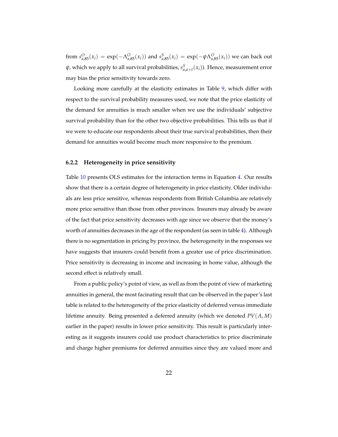from  $s_{a,85}^O(x_i) = \exp(-\Lambda_{a,85}^O(x_i))$  and  $s_{a,85}^S(x_i) = \exp(-\psi \Lambda_{a,85}^O(x_i))$  we can back out *ψ*, which we apply to all survival probabilities, *s S a*,*a*+*t* (*xi*)). Hence, measurement error may bias the price sensitivity towards zero.

Looking more carefully at the elasticity estimates in Table [9,](#page-36-0) which differ with respect to the survival probability measures used, we note that the price elasticity of the demand for annuities is much smaller when we use the individuals' subjective survival probability than for the other two objective probabilities. This tells us that if we were to educate our respondents about their true survival probabilities, then their demand for annuities would become much more responsive to the premium.

#### **6.2.2 Heterogeneity in price sensitivity**

Table [10](#page-37-0) presents OLS estimates for the interaction terms in Equation [4.](#page-20-0) Our results show that there is a certain degree of heterogeneity in price elasticity. Older individuals are less price sensitive, whereas respondents from British Columbia are relatively more price sensitive than those from other provinces. Insurers may already be aware of the fact that price sensitivity decreases with age since we observe that the money's worth of annuities decreases in the age of the respondent (as seen in table [4\)](#page-32-0). Although there is no segmentation in pricing by province, the heterogeneity in the responses we have suggests that insurers could benefit from a greater use of price discrimination. Price sensitivity is decreasing in income and increasing in home value, although the second effect is relatively small.

From a public policy's point of view, as well as from the point of view of marketing annuities in general, the most facinating result that can be observed in the paper's last table is related to the heterogeneity of the price elasticity of deferred versus immediate lifetime annuity. Being presented a deferred annuity (which we denoted *PV*(*A*, *M*) earlier in the paper) results in lower price sensitivity. This result is particularly interesting as it suggests insurers could use product characteristics to price discriminate and charge higher premiums for deferred annuities since they are valued more and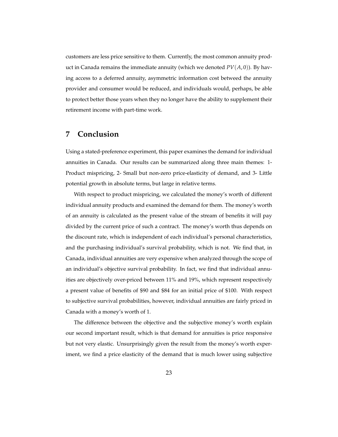customers are less price sensitive to them. Currently, the most common annuity product in Canada remains the immediate annuity (which we denoted  $PV(A, 0)$ ). By having access to a deferred annuity, asymmetric information cost betweed the annuity provider and consumer would be reduced, and individuals would, perhaps, be able to protect better those years when they no longer have the ability to supplement their retirement income with part-time work.

### **7 Conclusion**

Using a stated-preference experiment, this paper examines the demand for individual annuities in Canada. Our results can be summarized along three main themes: 1- Product mispricing, 2- Small but non-zero price-elasticity of demand, and 3- Little potential growth in absolute terms, but large in relative terms.

With respect to product mispricing, we calculated the money's worth of different individual annuity products and examined the demand for them. The money's worth of an annuity is calculated as the present value of the stream of benefits it will pay divided by the current price of such a contract. The money's worth thus depends on the discount rate, which is independent of each individual's personal characteristics, and the purchasing individual's survival probability, which is not. We find that, in Canada, individual annuities are very expensive when analyzed through the scope of an individual's objective survival probability. In fact, we find that individual annuities are objectively over-priced between 11% and 19%, which represent respectively a present value of benefits of \$90 and \$84 for an initial price of \$100. With respect to subjective survival probabilities, however, individual annuities are fairly priced in Canada with a money's worth of 1.

The difference between the objective and the subjective money's worth explain our second important result, which is that demand for annuities is price responsive but not very elastic. Unsurprisingly given the result from the money's worth experiment, we find a price elasticity of the demand that is much lower using subjective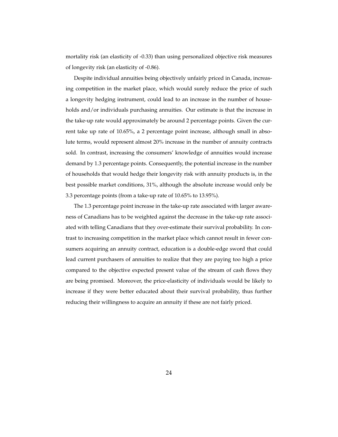mortality risk (an elasticity of -0.33) than using personalized objective risk measures of longevity risk (an elasticity of -0.86).

Despite individual annuities being objectively unfairly priced in Canada, increasing competition in the market place, which would surely reduce the price of such a longevity hedging instrument, could lead to an increase in the number of households and/or individuals purchasing annuities. Our estimate is that the increase in the take-up rate would approximately be around 2 percentage points. Given the current take up rate of 10.65%, a 2 percentage point increase, although small in absolute terms, would represent almost 20% increase in the number of annuity contracts sold. In contrast, increasing the consumers' knowledge of annuities would increase demand by 1.3 percentage points. Consequently, the potential increase in the number of households that would hedge their longevity risk with annuity products is, in the best possible market conditions, 31%, although the absolute increase would only be 3.3 percentage points (from a take-up rate of 10.65% to 13.95%).

The 1.3 percentage point increase in the take-up rate associated with larger awareness of Canadians has to be weighted against the decrease in the take-up rate associated with telling Canadians that they over-estimate their survival probability. In contrast to increasing competition in the market place which cannot result in fewer consumers acquiring an annuity contract, education is a double-edge sword that could lead current purchasers of annuities to realize that they are paying too high a price compared to the objective expected present value of the stream of cash flows they are being promised. Moreover, the price-elasticity of individuals would be likely to increase if they were better educated about their survival probability, thus further reducing their willingness to acquire an annuity if these are not fairly priced.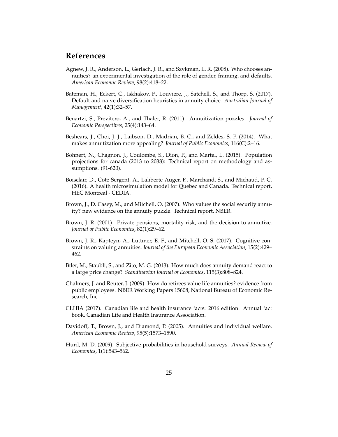### **References**

- <span id="page-26-9"></span>Agnew, J. R., Anderson, L., Gerlach, J. R., and Szykman, L. R. (2008). Who chooses annuities? an experimental investigation of the role of gender, framing, and defaults. *American Economic Review*, 98(2):418–22.
- <span id="page-26-10"></span>Bateman, H., Eckert, C., Iskhakov, F., Louviere, J., Satchell, S., and Thorp, S. (2017). Default and naive diversification heuristics in annuity choice. *Australian Journal of Management*, 42(1):32–57.
- <span id="page-26-3"></span>Benartzi, S., Previtero, A., and Thaler, R. (2011). Annuitization puzzles. *Journal of Economic Perspectives*, 25(4):143–64.
- <span id="page-26-4"></span>Beshears, J., Choi, J. J., Laibson, D., Madrian, B. C., and Zeldes, S. P. (2014). What makes annuitization more appealing? *Journal of Public Economics*, 116(C):2–16.
- <span id="page-26-12"></span>Bohnert, N., Chagnon, J., Coulombe, S., Dion, P., and Martel, L. (2015). Population projections for canada (2013 to 2038): Technical report on methodology and assumptions. (91-620).
- <span id="page-26-13"></span>Boisclair, D., Cote-Sergent, A., Laliberte-Auger, F., Marchand, S., and Michaud, P.-C. (2016). A health microsimulation model for Quebec and Canada. Technical report, HEC Montreal - CEDIA.
- <span id="page-26-8"></span>Brown, J., D. Casey, M., and Mitchell, O. (2007). Who values the social security annuity? new evidence on the annuity puzzle. Technical report, NBER.
- <span id="page-26-1"></span>Brown, J. R. (2001). Private pensions, mortality risk, and the decision to annuitize. *Journal of Public Economics*, 82(1):29–62.
- <span id="page-26-5"></span>Brown, J. R., Kapteyn, A., Luttmer, E. F., and Mitchell, O. S. (2017). Cognitive constraints on valuing annuities. *Journal of the European Economic Association*, 15(2):429– 462.
- <span id="page-26-6"></span>Btler, M., Staubli, S., and Zito, M. G. (2013). How much does annuity demand react to a large price change? *Scandinavian Journal of Economics*, 115(3):808–824.
- <span id="page-26-7"></span>Chalmers, J. and Reuter, J. (2009). How do retirees value life annuities? evidence from public employees. NBER Working Papers 15608, National Bureau of Economic Research, Inc.
- <span id="page-26-0"></span>CLHIA (2017). Canadian life and health insurance facts: 2016 edition. Annual fact book, Canadian Life and Health Insurance Association.
- <span id="page-26-2"></span>Davidoff, T., Brown, J., and Diamond, P. (2005). Annuities and individual welfare. *American Economic Review*, 95(5):1573–1590.
- <span id="page-26-11"></span>Hurd, M. D. (2009). Subjective probabilities in household surveys. *Annual Review of Economics*, 1(1):543–562.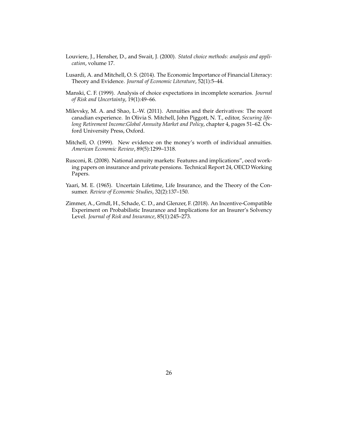- <span id="page-27-4"></span>Louviere, J., Hensher, D., and Swait, J. (2000). *Stated choice methods: analysis and application*, volume 17.
- <span id="page-27-6"></span>Lusardi, A. and Mitchell, O. S. (2014). The Economic Importance of Financial Literacy: Theory and Evidence. *Journal of Economic Literature*, 52(1):5–44.
- <span id="page-27-5"></span>Manski, C. F. (1999). Analysis of choice expectations in incomplete scenarios. *Journal of Risk and Uncertainty*, 19(1):49–66.
- <span id="page-27-3"></span>Milevsky, M. A. and Shao, L.-W. (2011). Annuities and their derivatives: The recent canadian experience. In Olivia S. Mitchell, John Piggott, N. T., editor, *Securing lifelong Retirement Income:Global Annuity Market and Policy*, chapter 4, pages 51–62. Oxford University Press, Oxford.
- <span id="page-27-2"></span>Mitchell, O. (1999). New evidence on the money's worth of individual annuities. *American Economic Review*, 89(5):1299–1318.
- <span id="page-27-1"></span>Rusconi, R. (2008). National annuity markets: Features and implications", oecd working papers on insurance and private pensions. Technical Report 24, OECD Working Papers.
- <span id="page-27-0"></span>Yaari, M. E. (1965). Uncertain Lifetime, Life Insurance, and the Theory of the Consumer. *Review of Economic Studies*, 32(2):137–150.
- <span id="page-27-7"></span>Zimmer, A., Grndl, H., Schade, C. D., and Glenzer, F. (2018). An Incentive-Compatible Experiment on Probabilistic Insurance and Implications for an Insurer's Solvency Level. *Journal of Risk and Insurance*, 85(1):245–273.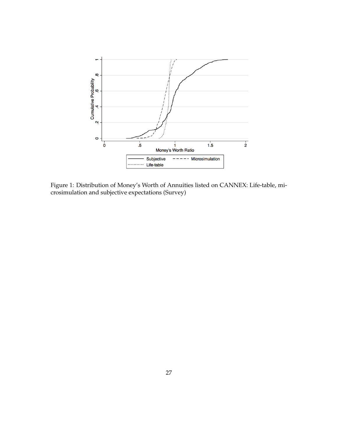

<span id="page-28-0"></span>Figure 1: Distribution of Money's Worth of Annuities listed on CANNEX: Life-table, microsimulation and subjective expectations (Survey)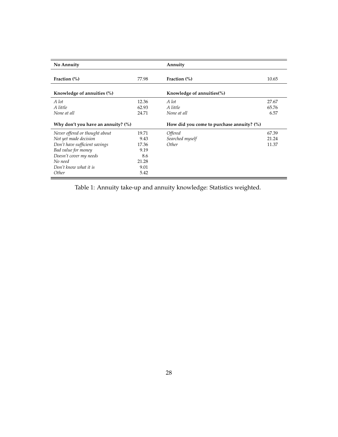| No Annuity                            |       | Annuity                                      |       |
|---------------------------------------|-------|----------------------------------------------|-------|
| Fraction $(\%)$                       | 77.98 | Fraction $(\%)$                              | 10.65 |
| Knowledge of annuities (%)            |       | Knowledge of annuities $(\%)$                |       |
| A lot                                 | 12.36 | A lot                                        | 27.67 |
| A little                              | 62.93 | A little                                     | 65.76 |
| None at all                           | 24.71 | None at all                                  | 6.57  |
| Why don't you have an annuity? $(\%)$ |       | How did you come to purchase annuity? $(\%)$ |       |
| Never offered or thought about        | 19.71 | <i><b>Offered</b></i>                        | 67.39 |
| Not yet made decision                 | 9.43  | Searched myself                              | 21.24 |
| Don't have sufficient savings         | 17.36 | Other                                        | 11.37 |
| Bad value for money                   | 9.19  |                                              |       |
| Doesn't cover my needs                | 8.6   |                                              |       |
| No need                               | 21.28 |                                              |       |
| Don't know what it is                 | 9.01  |                                              |       |
| Other                                 | 5.42  |                                              |       |

<span id="page-29-0"></span>Table 1: Annuity take-up and annuity knowledge: Statistics weighted.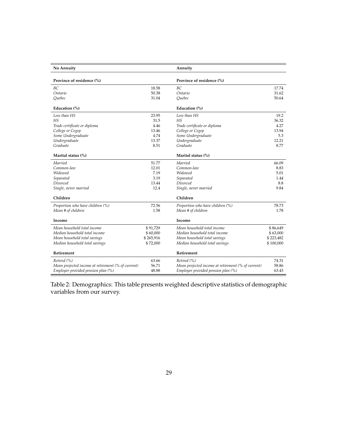| No Annuity                                         |           | Annuity                                            |           |
|----------------------------------------------------|-----------|----------------------------------------------------|-----------|
| Province of residence (%)                          |           | Province of residence (%)                          |           |
| BC.                                                | 18.58     | BC.                                                | 17.74     |
| Ontario                                            | 50.38     | Ontario                                            | 31.62     |
| Ouebec                                             | 31.04     | Ouebec                                             | 50.64     |
| Education (%)                                      |           | Education (%)                                      |           |
| Less than HS                                       | 23.95     | Less than HS                                       | 19.2      |
| HS                                                 | 31.5      | HS                                                 | 36.32     |
| Trade certificate or diploma                       | 4.46      | Trade certificate or diploma                       | 4.27      |
| College or Cegep                                   | 13.46     | College or Cegep                                   | 13.94     |
| Some Undergraduate                                 | 4.74      | Some Undergraduate                                 | 5.3       |
| Undergraduate                                      | 13.37     | Undergraduate                                      | 12.21     |
| Graduate                                           | 8.51      | Graduate                                           | 8.77      |
| Marital status (%)                                 |           | Marital status (%)                                 |           |
| Married                                            | 51.77     | Married                                            | 66.09     |
| Common-law                                         | 12.01     | Common-law                                         | 8.83      |
| Widowed                                            | 7.19      | Widowed                                            | 5.01      |
| Separated                                          | 3.19      | Separated                                          | 1.44      |
| Divorced                                           | 13.44     | Divorced                                           | 8.8       |
| Single, never married                              | 12.4      | Single, never married                              | 9.84      |
| Children                                           |           | Children                                           |           |
| Proportion who have children (%)                   | 72.56     | Proportion who have children (%)                   | 78.73     |
| Mean # of children                                 | 1.58      | Mean # of children                                 | 1.78      |
| Income                                             |           | Income                                             |           |
| Mean household total income                        | \$91,729  | Mean household total income                        | \$86,649  |
| Median household total income                      | \$60,000  | Median household total income                      | \$63,000  |
| Mean household total savings                       | \$265,916 | Mean household total savings                       | \$223,482 |
| Median household total savings                     | \$72,000  | Median household total savings                     | \$100,000 |
| Retirement                                         |           | Retirement                                         |           |
| Retired (%)                                        | 63.66     | Retired (%)                                        | 74.31     |
| Mean projected income at retirement (% of current) | 56.71     | Mean projected income at retirement (% of current) | 58.86     |
| Employer provided pension plan (%)                 | 48.88     | Employer provided pension plan (%)                 | 63.43     |

<span id="page-30-0"></span>Table 2: Demographics: This table presents weighted descriptive statistics of demographic variables from our survey.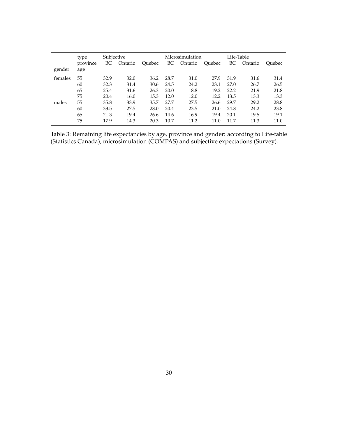|         | type     | Subjective |         |        |      | Microsimulation |        | Life-Table |         |               |
|---------|----------|------------|---------|--------|------|-----------------|--------|------------|---------|---------------|
|         | province | BС         | Ontario | Ouebec | BC   | Ontario         | Ouebec | BC         | Ontario | <b>Ouebec</b> |
| gender  | age      |            |         |        |      |                 |        |            |         |               |
| females | 55       | 32.9       | 32.0    | 36.2   | 28.7 | 31.0            | 27.9   | 31.9       | 31.6    | 31.4          |
|         | 60       | 32.3       | 31.4    | 30.6   | 24.5 | 24.2            | 23.1   | 27.0       | 26.7    | 26.5          |
|         | 65       | 25.4       | 31.6    | 26.3   | 20.0 | 18.8            | 19.2   | 22.2       | 21.9    | 21.8          |
|         | 75       | 20.4       | 16.0    | 15.3   | 12.0 | 12.0            | 12.2   | 13.5       | 13.3    | 13.3          |
| males   | 55       | 35.8       | 33.9    | 35.7   | 27.7 | 27.5            | 26.6   | 29.7       | 29.2    | 28.8          |
|         | 60       | 33.5       | 27.5    | 28.0   | 20.4 | 23.5            | 21.0   | 24.8       | 24.2    | 23.8          |
|         | 65       | 21.3       | 19.4    | 26.6   | 14.6 | 16.9            | 19.4   | 20.1       | 19.5    | 19.1          |
|         | 75       | 17.9       | 14.3    | 20.3   | 10.7 | 11.2            | 11.0   | 11.7       | 11.3    | 11.0          |

<span id="page-31-0"></span>Table 3: Remaining life expectancies by age, province and gender: according to Life-table (Statistics Canada), microsimulation (COMPAS) and subjective expectations (Survey).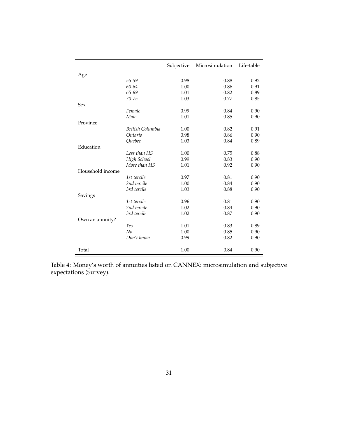|                  |                  | Subjective | Microsimulation | Life-table |
|------------------|------------------|------------|-----------------|------------|
| Age              |                  |            |                 |            |
|                  | 55-59            | 0.98       | 0.88            | 0.92       |
|                  | 60-64            | 1.00       | 0.86            | 0.91       |
|                  | 65-69            | 1.01       | 0.82            | 0.89       |
|                  | $70 - 75$        | 1.03       | 0.77            | 0.85       |
| <b>Sex</b>       |                  |            |                 |            |
|                  | Female           | 0.99       | 0.84            | 0.90       |
|                  | Male             | 1.01       | 0.85            | 0.90       |
| Province         |                  |            |                 |            |
|                  | British Columbia | 1.00       | 0.82            | 0.91       |
|                  | Ontario          | 0.98       | 0.86            | 0.90       |
|                  | Quebec           | 1.03       | 0.84            | 0.89       |
| Education        |                  |            |                 |            |
|                  | Less than HS     | 1.00       | 0.75            | 0.88       |
|                  | High School      | 0.99       | 0.83            | 0.90       |
|                  | More than HS     | 1.01       | 0.92            | 0.90       |
| Household income |                  |            |                 |            |
|                  | 1st tercile      | 0.97       | 0.81            | 0.90       |
|                  | 2nd tercile      | 1.00       | 0.84            | 0.90       |
|                  | 3rd tercile      | 1.03       | 0.88            | 0.90       |
| Savings          |                  |            |                 |            |
|                  | 1st tercile      | 0.96       | 0.81            | 0.90       |
|                  | 2nd tercile      | 1.02       | 0.84            | 0.90       |
|                  | 3rd tercile      | 1.02       | 0.87            | 0.90       |
| Own an annuity?  |                  |            |                 |            |
|                  | Yes              | 1.01       | 0.83            | 0.89       |
|                  | No               | 1.00       | 0.85            | 0.90       |
|                  | Don't know       | 0.99       | 0.82            | 0.90       |
|                  |                  |            |                 |            |
| Total            |                  | 1.00       | 0.84            | 0.90       |

<span id="page-32-0"></span>Table 4: Money's worth of annuities listed on CANNEX: microsimulation and subjective expectations (Survey).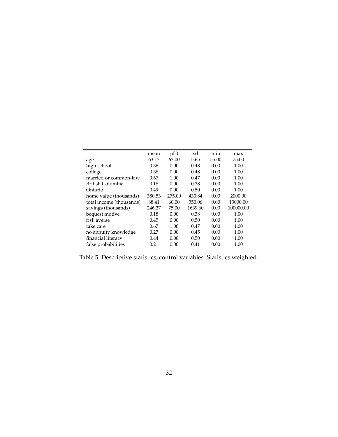|                          | mean   | p50    | sd      | min   | max       |
|--------------------------|--------|--------|---------|-------|-----------|
| age                      | 63.17  | 63.00  | 5.65    | 55.00 | 75.00     |
| high school              | 0.36   | 0.00   | 0.48    | 0.00  | 1.00      |
| college                  | 0.38   | 0.00   | 0.48    | 0.00  | 1.00      |
| married or common-law    | 0.67   | 1.00   | 0.47    | 0.00  | 1.00      |
| British Columbia         | 0.18   | 0.00   | 0.38    | 0.00  | 1.00      |
| Ontario                  | 0.49   | 0.00   | 0.50    | 0.00  | 1.00      |
| home value (thousands)   | 380.53 | 275.00 | 433.84  | 0.00  | 2000.00   |
| total income (thousands) | 88.41  | 60.00  | 350.06  | 0.00  | 13000.00  |
| savings (thousands)      | 246.27 | 75.00  | 1639.60 | 0.00  | 100000.00 |
| bequest motive           | 0.18   | 0.00   | 0.38    | 0.00  | 1.00      |
| risk averse              | 0.45   | 0.00   | 0.50    | 0.00  | 1.00      |
| take care                | 0.67   | 1.00   | 0.47    | 0.00  | 1.00      |
| no annuity knowledge     | 0.27   | 0.00   | 0.45    | 0.00  | 1.00      |
| financial literacy       | 0.44   | 0.00   | 0.50    | 0.00  | 1.00      |
| false probabilities      | 0.21   | 0.00   | 0.41    | 0.00  | 1.00      |

<span id="page-33-0"></span>Table 5: Descriptive statistics, control variables: Statistics weighted.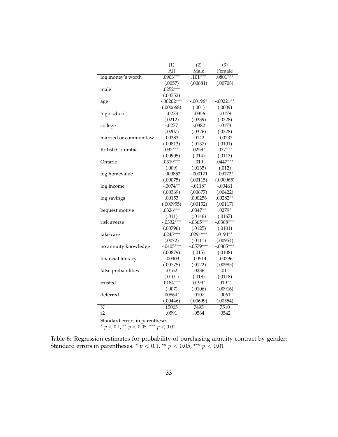|                       | $\overline{(1)}$ | (2)         | $\overline{(3)}$ |
|-----------------------|------------------|-------------|------------------|
|                       | All              | Male        | Female           |
| log money's worth     | $.0903***$       | $.101***$   | $.0801***$       |
|                       | (.0057)          | (.00881)    | (.00708)         |
| male                  | $.0252***$       |             |                  |
|                       | (.00752)         |             |                  |
| age                   | $-.00202***$     | $-.00196*$  | $-.00221**$      |
|                       | (.000668)        | (.001)      | (.0009)          |
| high school           | $-.0273$         | $-.0356$    | $-.0179$         |
|                       | (.0212)          | (.0339)     | (.0228)          |
| college               | $-.0277$         | $-.0382$    | $-.0173$         |
|                       | (.0207)          | (.0326)     | (.0228)          |
| married or common-law | .00383           | .0142       | $-.00232$        |
|                       | (.00813)         | (.0137)     | (.0101)          |
| British Columbia      | $.032***$        | $.0259*$    | $.037***$        |
|                       | (.00905)         | (.014)      | (.0113)          |
| Ontario               | $.0319***$       | .019        | $.0447***$       |
|                       | (.009)           | (.0135)     | (.012)           |
| log homevalue         | $-.000852$       | $-.000171$  | $-.00172*$       |
|                       | (.00075)         | (.00115)    | (.000965)        |
| log income            | $-.0074**$       | $-.0118*$   | $-.00461$        |
|                       | (.00369)         | (.00677)    | (.00422)         |
| log savings           | .00153           | .000256     | $.00282**$       |
|                       | (.000955)        | (.00152)    | (.00117)         |
| bequest motive        | $.0326***$       | $.0347**$   | $.0279*$         |
|                       | (.011)           | (.0146)     | (.0167)          |
| risk averse           | $-.0332***$      | $-.0365***$ | $-.0308***$      |
|                       | (.00796)         | (.0125)     | (.0101)          |
| take care             | $.0245***$       | $.0291***$  | $.0194**$        |
|                       | (.0072)          | (.0111)     | (.00954)         |
| no annuity knowledge  | $-.0405***$      | $-.0579***$ | $-.0305***$      |
|                       | (.00879)         | (.015)      | (.0108)          |
| financial literacy    | $-.00403$        | $-.00514$   | $-.00296$        |
|                       | (.00775)         | (.0122)     | (.00985)         |
| false probabilities   | .0162            | .0236       | .011             |
|                       | (.0101)          | (.018)      | (.0118)          |
| trusted               | $.0184***$       | $.0199*$    | $.019**$         |
|                       | (.007)           | (.0106)     | (.00916)         |
| deferred              | $.00864*$        | .0107       | .0061            |
|                       | (.00446)         | (.00699)    | (.00554)         |
| N                     | 15005            | 7495        | 7510             |
| r2                    | .0591            | .0564       | .0542            |

Standard errors in parentheses

<sup>∗</sup> *p* < 0.1, ∗∗ *p* < 0.05, ∗∗∗ *p* < 0.01

<span id="page-34-0"></span>Table 6: Regression estimates for probability of purchasing annuity contract by gender: Standard errors in parentheses. \* *p* < 0.1, \*\* *p* < 0.05, \*\*\* *p* < 0.01.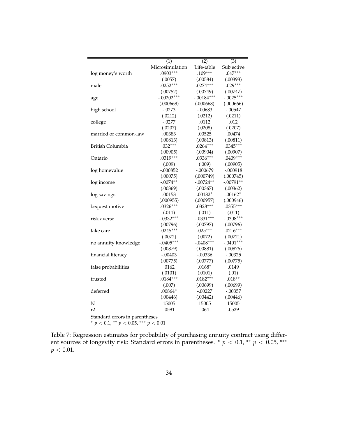|                       | $\overline{(1)}$      | $\overline{(2)}$ | $\overline{(3)}$ |
|-----------------------|-----------------------|------------------|------------------|
|                       | Microsimulation       | Life-table       | Subjective       |
| log money's worth     | $.0903***$            | $.109***$        | $.047***$        |
|                       | (.0057)               | (.00584)         | (.00393)         |
| male                  | $.0252***$            | $.0274***$       | $.029***$        |
|                       | (.00752)              | (.00749)         | (.00747)         |
| age                   | $-.00202***$          | $-.00184***$     | $-.0025***$      |
|                       | (.000668)             | (.000668)        | (.000666)        |
| high school           | $-.0273$              | $-.00683$        | $-.00547$        |
|                       | (.0212)               | (.0212)          | (.0211)          |
| college               | $-.0277$              | .0112            | .012             |
|                       | (.0207)               | (.0208)          | (.0207)          |
| married or common-law | .00383                | .00525           | .00474           |
|                       | (.00813)              | (.00813)         | (.00811)         |
| British Columbia      | $.032***$             | $.0264***$       | $.0345***$       |
|                       | (.00905)              | (.00904)         | (.00907)         |
| Ontario               | $.0319***$            | $.0336***$       | $.0409***$       |
|                       | (.009)                | (.009)           | (.00905)         |
| log homevalue         | $-.000852$            | $-.000679$       | $-.000918$       |
|                       | (.00075)              | (.000749)        | (.000745)        |
| log income            | $-.0074**$            | $-.00724**$      | $-.00791**$      |
|                       | (.00369)              | (.00367)         | (.00362)         |
| log savings           | .00153                | $.00182*$        | $.00162*$        |
|                       | (.000955)             | (.000957)        | (.000946)        |
| bequest motive        | $.0326***$            | $.0328***$       | $.0355***$       |
|                       | (.011)                | (.011)           | (.011)           |
| risk averse           | $-.0332***$           | $-.0331***$      | $-.0308***$      |
|                       | (.00796)              | (.00797)         | (.00796)         |
| take care             | $.0245***$            | $.025***$        | $.0216***$       |
|                       | (.0072)               | (.0072)          | (.00721)         |
| no annuity knowledge  | $-.0405***$           | $-.0408***$      | $-.0401***$      |
|                       | (.00879)              | (.00881)         | (.00876)         |
| financial literacy    | $-.00403$             | -.00336          | $-.00325$        |
|                       | (.00775)              | (.00777)         | (.00775)         |
| false probabilities   | .0162                 | $.0168*$         | .0149            |
|                       | (.0101)<br>$.0184***$ | (.0101)          | (.01)            |
| trusted               |                       | $.0182***$       | $.018**$         |
|                       | (.007)                | (.00699)         | (.00699)         |
| deferred              | $.00864*$             | $-.00227$        | $-.00357$        |
|                       | (.00446)              | (.00442)         | (.00446)         |
| N                     | 15005                 | 15005            | 15005            |
| r2                    | .0591                 | .064             | .0529            |

Standard errors in parentheses

<span id="page-35-0"></span><sup>∗</sup> *p* < 0.1, ∗∗ *p* < 0.05, ∗∗∗ *p* < 0.01

Table 7: Regression estimates for probability of purchasing annuity contract using different sources of longevity risk: Standard errors in parentheses. \*  $p < 0.1$ , \*\*  $p < 0.05$ , \*\*\*  $p < 0.01$ .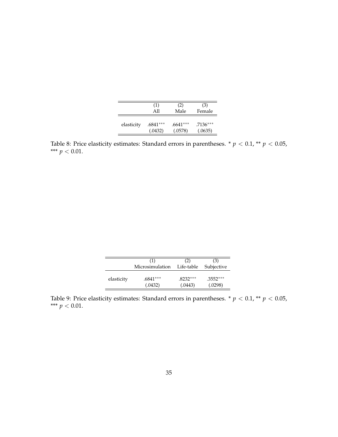|            | (1)        | (2)        | (3)        |
|------------|------------|------------|------------|
|            | All        | Male       | Female     |
| elasticity | $.6841***$ | $.6641***$ | $.7136***$ |
|            | (.0432)    | (.0578)    | (.0635)    |

Table 8: Price elasticity estimates: Standard errors in parentheses.  $*$   $p$  < 0.1,  $*$   $p$  < 0.05, \*\*\*  $p < 0.01$ .

|            | (1)                        | (2)        | (3)        |
|------------|----------------------------|------------|------------|
|            | Microsimulation Life-table |            | Subjective |
| elasticity | .6841***                   | $.8232***$ | $.3552***$ |
|            | (.0432)                    | (.0443)    | (.0298)    |

<span id="page-36-0"></span>Table 9: Price elasticity estimates: Standard errors in parentheses.  $*$   $p$  < 0.1,  $*$   $p$  < 0.05, \*\*\*  $p < 0.01$ .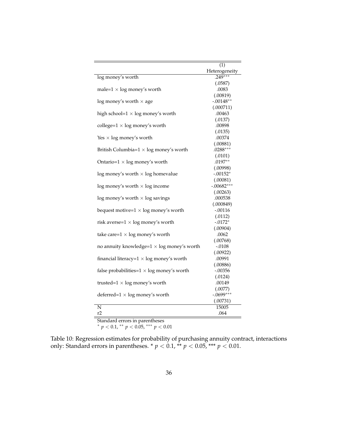|                                                    | (1)           |
|----------------------------------------------------|---------------|
|                                                    | Heterogeneity |
| log money's worth                                  | $.249***$     |
|                                                    | (.0587)       |
| male= $1 \times$ log money's worth                 | .0083         |
|                                                    | (.00819)      |
| $log$ money's worth $\times$ age                   | $-.00148**$   |
|                                                    | (.000711)     |
| high school= $1 \times$ log money's worth          | .00463        |
|                                                    | (.0137)       |
| college= $1 \times \log$ money's worth             | .00898        |
|                                                    | (.0135)       |
| Yes $\times$ log money's worth                     | .00374        |
|                                                    | (.00881)      |
| British Columbia= $1 \times$ log money's worth     | $.0288***$    |
|                                                    | (.0101)       |
| Ontario= $1 \times$ log money's worth              | $.0197**$     |
|                                                    | (.00998)      |
| $log$ money's worth $\times$ log homevalue         | $-.00152*$    |
|                                                    | (.00081)      |
| $log$ money's worth $\times$ log income            | $-.00682***$  |
|                                                    | (.00263)      |
| $log$ money's worth $\times$ log savings           | .000538       |
|                                                    | (.000849)     |
| bequest motive= $1 \times log$ money's worth       | $-.00116$     |
|                                                    | (.0112)       |
| risk averse= $1 \times log$ money's worth          | $-.0172*$     |
|                                                    | (.00904)      |
| take care= $1 \times \log$ money's worth           | .0062         |
|                                                    | (.00768)      |
| no annuity knowledge= $1 \times$ log money's worth | $-.0108$      |
|                                                    | (.00922)      |
| financial literacy= $1 \times$ log money's worth   | .00991        |
|                                                    | (.00886)      |
| false probabilities= $1 \times log$ money's worth  | $-.00356$     |
|                                                    | (.0124)       |
| trusted= $1 \times$ log money's worth              | .00149        |
|                                                    | (.0077)       |
| deferred= $1 \times log$ money's worth             | $-.0699***$   |
|                                                    | (.00731)      |
| N                                                  | 15005         |
| r2                                                 | .064          |

Standard errors in parentheses

<span id="page-37-0"></span><sup>∗</sup> *p* < 0.1, ∗∗ *p* < 0.05, ∗∗∗ *p* < 0.01

Table 10: Regression estimates for probability of purchasing annuity contract, interactions only: Standard errors in parentheses.  $*$   $p$  < 0.1,  $*$   $*$   $p$  < 0.05,  $*$  $*$   $*$   $p$  < 0.01.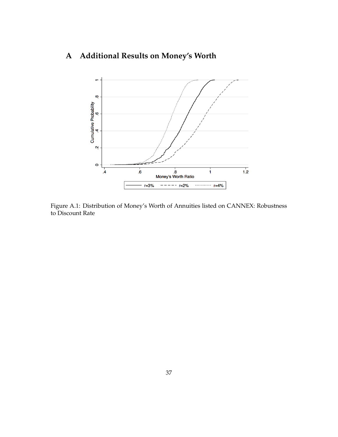## **A Additional Results on Money's Worth**



Figure A.1: Distribution of Money's Worth of Annuities listed on CANNEX: Robustness to Discount Rate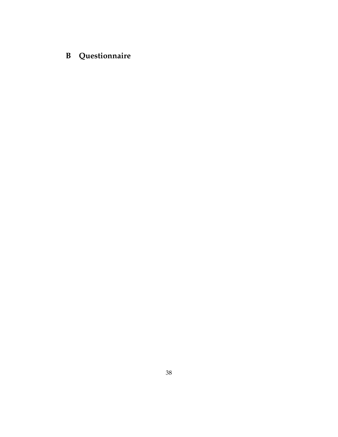## **B Questionnaire**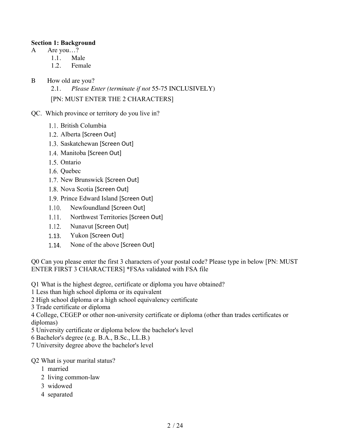#### **Section 1: Background**

- A Are you...?
	- 1.1. Male
	- 1.2. Female
- B How old are you?
	- 2.1. *Please Enter (terminate if not* 55-75 INCLUSIVELY)

[PN: MUST ENTER THE 2 CHARACTERS]

- QC. Which province or territory do you live in?
	- 1.1. British Columbia
	- 1.2. Alberta [Screen Out]
	- 1.3. Saskatchewan [Screen Out]
	- 1.4. Manitoba [Screen Out]
	- 1.5. Ontario
	- 1.6. Quebec
	- 1.7. New Brunswick [Screen Out]
	- 1.8. Nova Scotia [Screen Out]
	- 1.9. Prince Edward Island [Screen Out]
	- Newfoundland [Screen Out]  $1.10.$
	- $1.11.$ Northwest Territories [Screen Out]
	- $1.12.$ Nunavut [Screen Out]
	- 1.13. Yukon [Screen Out]
	- 1.14. None of the above [Screen Out]

Q0 Can you please enter the first 3 characters of your postal code? Please type in below [PN: MUST ENTER FIRST 3 CHARACTERS] \*FSAs validated with FSA file

- Q1 What is the highest degree, certificate or diploma you have obtained?
- 1 Less than high school diploma or its equivalent
- 2 High school diploma or a high school equivalency certificate
- 3 Trade certificate or diploma

4 College, CEGEP or other non-university certificate or diploma (other than trades certificates or diplomas)

- 5 University certificate or diploma below the bachelor's level
- 6 Bachelor's degree (e.g. B.A., B.Sc., LL.B.)
- 7 University degree above the bachelor's level

### Q2 What is your marital status?

- 1 married
- 2 living common-law
- 3 widowed
- 4 separated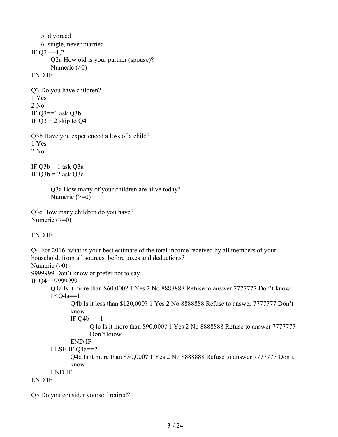```
5 divorced 
   6 single, never married 
IF Q2 = 1,2Q2a How old is your partner (spouse)?
       Numeric (>0)END IF
Q3 Do you have children?
1 Yes
2 No.
IF Q3==1 ask Q3b
IF Q3 = 2 skip to Q4Q3b Have you experienced a loss of a child?
1 Yes
2 No
IF Q3b = 1 ask Q3aIF Q3b = 2 ask Q3cQ3a How many of your children are alive today?
       Numeric (\geq=0)Q3c How many children do you have?
Numeric (\geq=0)
```
END IF

```
Q4 For 2016, what is your best estimate of the total income received by all members of your 
household, from all sources, before taxes and deductions?
Numeric (>0)9999999 Don't know or prefer not to say
IF Q4==9999999
      Q4a Is it more than $60,000? 1 Yes 2 No 8888888 Refuse to answer 7777777 Don't know
      IF Q4a == 1Q4b Is it less than $120,000? 1 Yes 2 No 8888888 Refuse to answer 7777777 Don't 
             know
             IF Q4b == 1Q4c Is it more than $90,000? 1 Yes 2 No 8888888 Refuse to answer 7777777 
                    Don't know
             END IF
      ELSE IF Q4a==2
             Q4d Is it more than $30,000? 1 Yes 2 No 8888888 Refuse to answer 7777777 Don't 
             know
      END IF
END IF
```
Q5 Do you consider yourself retired?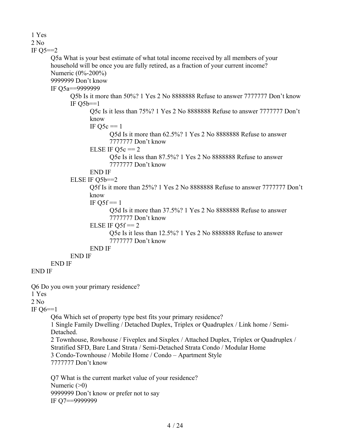1 Yes 2 No IF  $Q5 == 2$ Q5a What is your best estimate of what total income received by all members of your household will be once you are fully retired, as a fraction of your current income? Numeric (0%-200%) 9999999 Don't know IF Q5a==9999999 Q5b Is it more than 50%? 1 Yes 2 No 8888888 Refuse to answer 7777777 Don't know IF  $O5b==1$ Q5c Is it less than 75%? 1 Yes 2 No 8888888 Refuse to answer 7777777 Don't know IF  $Q5c == 1$ Q5d Is it more than 62.5%? 1 Yes 2 No 8888888 Refuse to answer 7777777 Don't know ELSE IF  $O5c == 2$ Q5e Is it less than 87.5%? 1 Yes 2 No 8888888 Refuse to answer 7777777 Don't know END IF ELSE IF  $O5b==2$ Q5f Is it more than 25%? 1 Yes 2 No 8888888 Refuse to answer 7777777 Don't know IF  $Q5f == 1$ Q5d Is it more than 37.5%? 1 Yes 2 No 8888888 Refuse to answer 7777777 Don't know ELSE IF  $O5f == 2$ Q5e Is it less than 12.5%? 1 Yes 2 No 8888888 Refuse to answer 7777777 Don't know END IF END IF END IF END IF Q6 Do you own your primary residence? 1 Yes  $2$  No. IF Q6==1 Q6a Which set of property type best fits your primary residence? 1 Single Family Dwelling / Detached Duplex, Triplex or Quadruplex / Link home / Semi-Detached. 2 Townhouse, Rowhouse / Fiveplex and Sixplex / Attached Duplex, Triplex or Quadruplex / Stratified SFD, Bare Land Strata / Semi-Detached Strata Condo / Modular Home 3 Condo-Townhouse / Mobile Home / Condo – Apartment Style 7777777 Don't know Q7 What is the current market value of your residence? Numeric  $(>0)$ 9999999 Don't know or prefer not to say IF Q7==9999999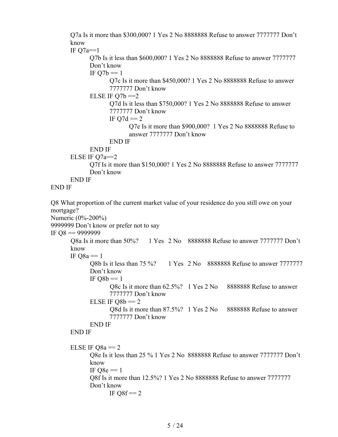Q7a Is it more than \$300,000? 1 Yes 2 No 8888888 Refuse to answer 7777777 Don't know

IF  $Q7a==1$ 

Q7b Is it less than \$600,000? 1 Yes 2 No 8888888 Refuse to answer 7777777 Don't know

IF  $Q7b == 1$ 

Q7c Is it more than \$450,000? 1 Yes 2 No 8888888 Refuse to answer 7777777 Don't know

ELSE IF  $O7b == 2$ 

Q7d Is it less than \$750,000? 1 Yes 2 No 8888888 Refuse to answer 7777777 Don't know

IF  $Q7d == 2$ 

Q7e Is it more than \$900,000? 1 Yes 2 No 8888888 Refuse to answer 7777777 Don't know

END IF

```
END IF
```
ELSE IF  $O7a==2$ 

Q7f Is it more than \$150,000? 1 Yes 2 No 8888888 Refuse to answer 7777777 Don't know

#### END IF

END IF

Q8 What proportion of the current market value of your residence do you still owe on your mortgage? Numeric (0%-200%) 9999999 Don't know or prefer not to say IF Q8 == 9999999 Q8a Is it more than 50%? 1 Yes 2 No 8888888 Refuse to answer 7777777 Don't know IF  $O8a = 1$ Q8b Is it less than 75 %? 1 Yes 2 No 8888888 Refuse to answer 7777777 Don't know IF  $Q8b == 1$ Q8c Is it more than 62.5%? 1 Yes 2 No 8888888 Refuse to answer 7777777 Don't know ELSE IF  $Q8b == 2$ Q8d Is it more than 87.5%? 1 Yes 2 No 8888888 Refuse to answer 7777777 Don't know END IF END IF ELSE IF  $Q8a == 2$ Q8e Is it less than 25 % 1 Yes 2 No 8888888 Refuse to answer 7777777 Don't know IF  $Q8e == 1$ Q8f Is it more than 12.5%? 1 Yes 2 No 8888888 Refuse to answer 7777777 Don't know IF  $O8f == 2$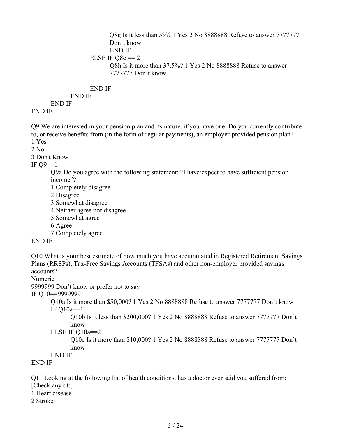```
Q8g Is it less than 5%? 1 Yes 2 No 8888888 Refuse to answer 7777777 
      Don't know
      END IF
ELSE IF Q8e = 2Q8h Is it more than 37.5%? 1 Yes 2 No 8888888 Refuse to answer
      7777777 Don't know
```
END IF

END IF

END IF END IF

Q9 We are interested in your pension plan and its nature, if you have one. Do you currently contribute to, or receive benefits from (in the form of regular payments), an employer-provided pension plan? 1 Yes

 $2$  No.

3 Don't Know

IF  $Q9 == 1$ 

Q9a Do you agree with the following statement: "I have/expect to have sufficient pension income"?

1 Completely disagree

2 Disagree

- 3 Somewhat disagree
- 4 Neither agree nor disagree
- 5 Somewhat agree
- 6 Agree

7 Completely agree

### END IF

Q10 What is your best estimate of how much you have accumulated in Registered Retirement Savings Plans (RRSPs), Tax-Free Savings Accounts (TFSAs) and other non-employer provided savings accounts?

Numeric

9999999 Don't know or prefer not to say

IF Q10==9999999

Q10a Is it more than \$50,000? 1 Yes 2 No 8888888 Refuse to answer 7777777 Don't know IF Q10a==1

Q10b Is it less than \$200,000? 1 Yes 2 No 8888888 Refuse to answer 7777777 Don't know

ELSE IF  $O10a==2$ 

Q10c Is it more than \$10,000? 1 Yes 2 No 8888888 Refuse to answer 7777777 Don't know

END IF

END IF

Q11 Looking at the following list of health conditions, has a doctor ever said you suffered from: [Check any of:] 1 Heart disease

2 Stroke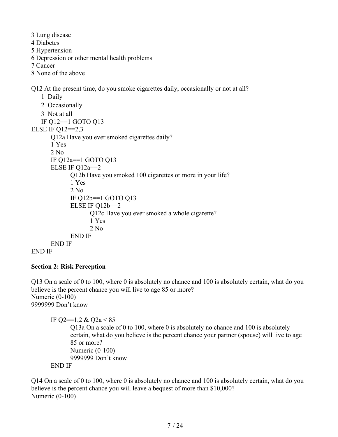3 Lung disease 4 Diabetes 5 Hypertension 6 Depression or other mental health problems 7 Cancer 8 None of the above Q12 At the present time, do you smoke cigarettes daily, occasionally or not at all? 1 Daily 2 Occasionally 3 Not at all IF Q12==1 GOTO Q13 ELSE IF Q12==2,3 Q12a Have you ever smoked cigarettes daily? 1 Yes 2 No IF Q12a==1 GOTO Q13 ELSE IF Q12a==2 Q12b Have you smoked 100 cigarettes or more in your life? 1 Yes 2 No IF Q12b==1 GOTO Q13 ELSE IF  $Q12b==2$ Q12c Have you ever smoked a whole cigarette? 1 Yes 2 No END IF

```
END IF
```

```
END IF
```
### **Section 2: Risk Perception**

Q13 On a scale of 0 to 100, where 0 is absolutely no chance and 100 is absolutely certain, what do you believe is the percent chance you will live to age 85 or more? Numeric (0-100) 9999999 Don't know

IF O2==1,2 & O2a <  $85$ 

Q13a On a scale of 0 to 100, where 0 is absolutely no chance and 100 is absolutely certain, what do you believe is the percent chance your partner (spouse) will live to age 85 or more? Numeric (0-100) 9999999 Don't know END IF

Q14 On a scale of 0 to 100, where 0 is absolutely no chance and 100 is absolutely certain, what do you believe is the percent chance you will leave a bequest of more than \$10,000? Numeric (0-100)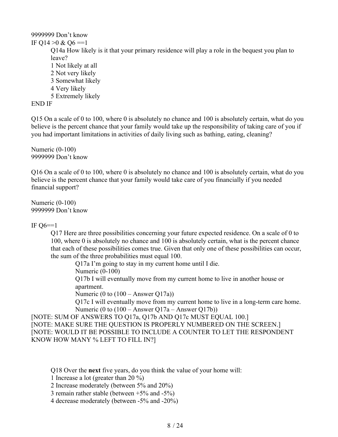### 9999999 Don't know IF Q14  $>0$  & Q6 ==1 Q14a How likely is it that your primary residence will play a role in the bequest you plan to leave? 1 Not likely at all 2 Not very likely 3 Somewhat likely 4 Very likely 5 Extremely likely

END IF

Q15 On a scale of 0 to 100, where 0 is absolutely no chance and 100 is absolutely certain, what do you believe is the percent chance that your family would take up the responsibility of taking care of you if you had important limitations in activities of daily living such as bathing, eating, cleaning?

Numeric (0-100) 9999999 Don't know

Q16 On a scale of 0 to 100, where 0 is absolutely no chance and 100 is absolutely certain, what do you believe is the percent chance that your family would take care of you financially if you needed financial support?

Numeric (0-100) 9999999 Don't know

IF  $O6 == 1$ 

Q17 Here are three possibilities concerning your future expected residence. On a scale of 0 to 100, where 0 is absolutely no chance and 100 is absolutely certain, what is the percent chance that each of these possibilities comes true. Given that only one of these possibilities can occur, the sum of the three probabilities must equal 100.

Q17a I'm going to stay in my current home until I die. Numeric (0-100)

Q17b I will eventually move from my current home to live in another house or apartment.

Numeric (0 to  $(100 - \text{Answer } Q17a)$ )

Q17c I will eventually move from my current home to live in a long-term care home. Numeric (0 to (100 – Answer Q17a – Answer Q17b))

[NOTE: SUM OF ANSWERS TO Q17a, Q17b AND Q17c MUST EQUAL 100.] [NOTE: MAKE SURE THE QUESTION IS PROPERLY NUMBERED ON THE SCREEN.] [NOTE: WOULD IT BE POSSIBLE TO INCLUDE A COUNTER TO LET THE RESPONDENT KNOW HOW MANY % LEFT TO FILL IN?]

Q18 Over the **next** five years, do you think the value of your home will:

1 Increase a lot (greater than 20 %)

2 Increase moderately (between 5% and 20%)

3 remain rather stable (between +5% and -5%)

4 decrease moderately (between -5% and -20%)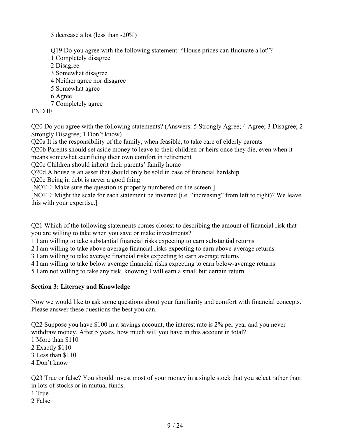5 decrease a lot (less than -20%)

Q19 Do you agree with the following statement: "House prices can fluctuate a lot"?

- 1 Completely disagree
- 2 Disagree
- 3 Somewhat disagree
- 4 Neither agree nor disagree
- 5 Somewhat agree
- 6 Agree
- 7 Completely agree

END IF

Q20 Do you agree with the following statements? (Answers: 5 Strongly Agree; 4 Agree; 3 Disagree; 2 Strongly Disagree; 1 Don't know)

Q20a It is the responsibility of the family, when feasible, to take care of elderly parents

Q20b Parents should set aside money to leave to their children or heirs once they die, even when it means somewhat sacrificing their own comfort in retirement

Q20c Children should inherit their parents' family home

Q20d A house is an asset that should only be sold in case of financial hardship

Q20e Being in debt is never a good thing

[NOTE: Make sure the question is properly numbered on the screen.]

[NOTE: Might the scale for each statement be inverted (i.e. "increasing" from left to right)? We leave this with your expertise.]

Q21 Which of the following statements comes closest to describing the amount of financial risk that you are willing to take when you save or make investments?

1 I am willing to take substantial financial risks expecting to earn substantial returns

2 I am willing to take above average financial risks expecting to earn above-average returns

3 I am willing to take average financial risks expecting to earn average returns

4 I am willing to take below average financial risks expecting to earn below-average returns

5 I am not willing to take any risk, knowing I will earn a small but certain return

### **Section 3: Literacy and Knowledge**

Now we would like to ask some questions about your familiarity and comfort with financial concepts. Please answer these questions the best you can.

Q22 Suppose you have \$100 in a savings account, the interest rate is 2% per year and you never withdraw money. After 5 years, how much will you have in this account in total? 1 More than \$110 2 Exactly \$110 3 Less than \$110 4 Don't know

Q23 True or false? You should invest most of your money in a single stock that you select rather than in lots of stocks or in mutual funds.

- 1 True
- 2 False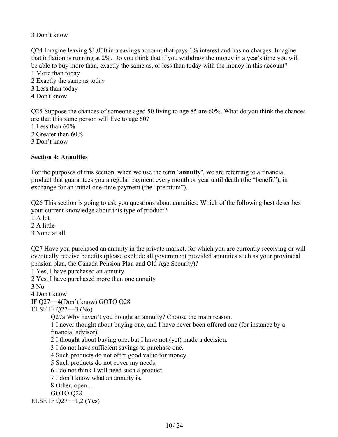### 3 Don't know

Q24 Imagine leaving \$1,000 in a savings account that pays 1% interest and has no charges. Imagine that inflation is running at 2%. Do you think that if you withdraw the money in a year's time you will be able to buy more than, exactly the same as, or less than today with the money in this account? 1 More than today

- 2 Exactly the same as today
- 3 Less than today
- 4 Don't know

Q25 Suppose the chances of someone aged 50 living to age 85 are 60%. What do you think the chances are that this same person will live to age 60?

1 Less than 60%

2 Greater than 60%

3 Don't know

### **Section 4: Annuities**

For the purposes of this section, when we use the term '**annuity'**, we are referring to a financial product that guarantees you a regular payment every month or year until death (the "benefit"), in exchange for an initial one-time payment (the "premium").

Q26 This section is going to ask you questions about annuities. Which of the following best describes your current knowledge about this type of product?

1 A lot

2 A little

3 None at all

Q27 Have you purchased an annuity in the private market, for which you are currently receiving or will eventually receive benefits (please exclude all government provided annuities such as your provincial pension plan, the Canada Pension Plan and Old Age Security)?

1 Yes, I have purchased an annuity

2 Yes, I have purchased more than one annuity

3 No

4 Don't know

IF Q27==4(Don't know) GOTO Q28

ELSE IF  $Q27 == 3$  (No)

Q27a Why haven't you bought an annuity? Choose the main reason.

1 I never thought about buying one, and I have never been offered one (for instance by a financial advisor).

2 I thought about buying one, but I have not (yet) made a decision.

3 I do not have sufficient savings to purchase one.

4 Such products do not offer good value for money.

5 Such products do not cover my needs.

6 I do not think I will need such a product.

7 I don't know what an annuity is.

8 Other, open...

GOTO Q28

ELSE IF  $Q27 = 1,2$  (Yes)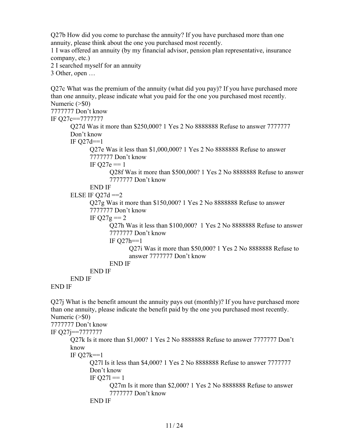Q27b How did you come to purchase the annuity? If you have purchased more than one annuity, please think about the one you purchased most recently.

1 I was offered an annuity (by my financial advisor, pension plan representative, insurance company, etc.)

2 I searched myself for an annuity

3 Other, open …

Q27c What was the premium of the annuity (what did you pay)? If you have purchased more than one annuity, please indicate what you paid for the one you purchased most recently. Numeric (>\$0) 7777777 Don't know IF Q27c==7777777 Q27d Was it more than \$250,000? 1 Yes 2 No 8888888 Refuse to answer 7777777 Don't know IF  $Q27d==1$ Q27e Was it less than \$1,000,000? 1 Yes 2 No 8888888 Refuse to answer 7777777 Don't know IF  $Q27e == 1$ Q28f Was it more than \$500,000? 1 Yes 2 No 8888888 Refuse to answer 7777777 Don't know END IF ELSE IF  $Q27d == 2$ Q27g Was it more than \$150,000? 1 Yes 2 No 8888888 Refuse to answer 7777777 Don't know IF  $Q27g = 2$ Q27h Was it less than \$100,000? 1 Yes 2 No 8888888 Refuse to answer 7777777 Don't know IF  $Q27h==1$ Q27i Was it more than \$50,000? 1 Yes 2 No 8888888 Refuse to answer 7777777 Don't know END IF END IF END IF END IF

Q27j What is the benefit amount the annuity pays out (monthly)? If you have purchased more than one annuity, please indicate the benefit paid by the one you purchased most recently. Numeric (>\$0) 7777777 Don't know IF Q27j==7777777 Q27k Is it more than \$1,000? 1 Yes 2 No 8888888 Refuse to answer 7777777 Don't know IF Q27k==1 Q27l Is it less than \$4,000? 1 Yes 2 No 8888888 Refuse to answer 7777777 Don't know IF  $Q27l == 1$ Q27m Is it more than \$2,000? 1 Yes 2 No 8888888 Refuse to answer 7777777 Don't know END IF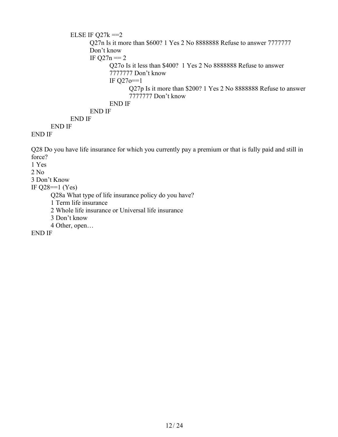```
ELSE IF Q27k == 2Q27n Is it more than $600? 1 Yes 2 No 8888888 Refuse to answer 7777777 
      Don't know
      IF Q27n == 2Q27o Is it less than $400? 1 Yes 2 No 8888888 Refuse to answer
             7777777 Don't know
             IF Q27o==1
                   Q27p Is it more than $200? 1 Yes 2 No 8888888 Refuse to answer
                   7777777 Don't know
             END IF
      END IF
END IF
```
END IF

### END IF

Q28 Do you have life insurance for which you currently pay a premium or that is fully paid and still in force?

1 Yes

 $2$  No.

3 Don't Know

IF  $Q28 == 1$  (Yes)

Q28a What type of life insurance policy do you have?

1 Term life insurance

2 Whole life insurance or Universal life insurance

3 Don't know

4 Other, open…

END IF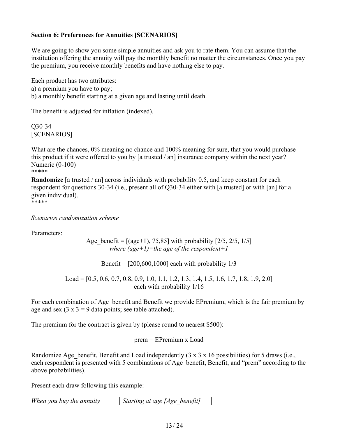### **Section 6: Preferences for Annuities [SCENARIOS]**

We are going to show you some simple annuities and ask you to rate them. You can assume that the institution offering the annuity will pay the monthly benefit no matter the circumstances. Once you pay the premium, you receive monthly benefits and have nothing else to pay.

Each product has two attributes: a) a premium you have to pay; b) a monthly benefit starting at a given age and lasting until death.

The benefit is adjusted for inflation (indexed).

Q30-34 [SCENARIOS]

What are the chances, 0% meaning no chance and 100% meaning for sure, that you would purchase this product if it were offered to you by [a trusted / an] insurance company within the next year? Numeric (0-100) \*\*\*\*\*

**Randomize** [a trusted / an] across individuals with probability 0.5, and keep constant for each respondent for questions 30-34 (i.e., present all of Q30-34 either with [a trusted] or with [an] for a given individual).

\*\*\*\*\*

*Scenarios randomization scheme*

Parameters:

Age benefit =  $[(age+1), 75,85]$  with probability  $[2/5, 2/5, 1/5]$ *where (age+1)=the age of the respondent+1*

Benefit =  $[200,600,1000]$  each with probability  $1/3$ 

Load = [0.5, 0.6, 0.7, 0.8, 0.9, 1.0, 1.1, 1.2, 1.3, 1.4, 1.5, 1.6, 1.7, 1.8, 1.9, 2.0] each with probability 1/16

For each combination of Age benefit and Benefit we provide EPremium, which is the fair premium by age and sex  $(3 \times 3 = 9)$  data points; see table attached).

The premium for the contract is given by (please round to nearest \$500):

prem = EPremium x Load

Randomize Age benefit, Benefit and Load independently  $(3 \times 3 \times 16)$  possibilities) for 5 draws (i.e., each respondent is presented with 5 combinations of Age benefit, Benefit, and "prem" according to the above probabilities).

Present each draw following this example:

*When you buy the annuity Starting at age [Age\_benefit]*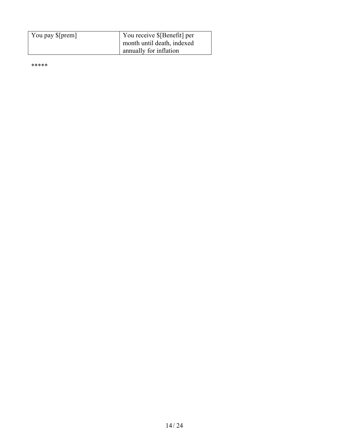| You pay \$[prem] | You receive \$[Benefit] per |
|------------------|-----------------------------|
|                  |                             |
|                  | month until death, indexed  |
|                  | annually for inflation      |

\*\*\*\*\*